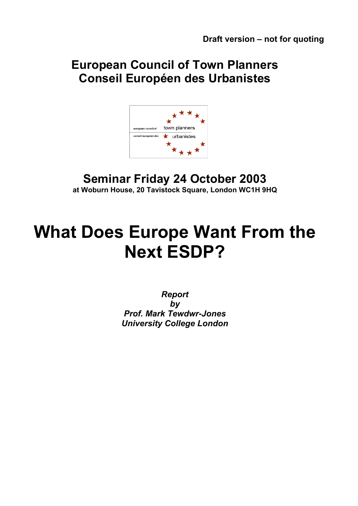# **European Council of Town Planners Conseil Européen des Urbanistes**



# **Seminar Friday 24 October 2003 at Woburn House, 20 Tavistock Square, London WC1H 9HQ**

# **What Does Europe Want From the Next ESDP?**

*Report by Prof. Mark Tewdwr-Jones University College London*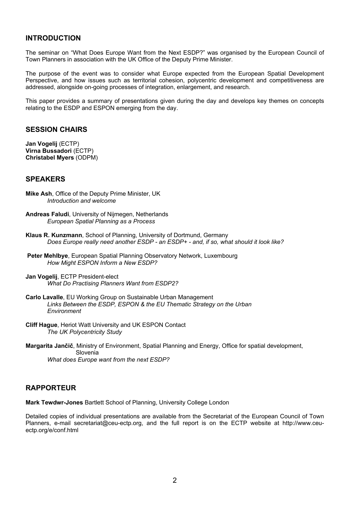## **INTRODUCTION**

The seminar on "What Does Europe Want from the Next ESDP?" was organised by the European Council of Town Planners in association with the UK Office of the Deputy Prime Minister.

The purpose of the event was to consider what Europe expected from the European Spatial Development Perspective, and how issues such as territorial cohesion, polycentric development and competitiveness are addressed, alongside on-going processes of integration, enlargement, and research.

This paper provides a summary of presentations given during the day and develops key themes on concepts relating to the ESDP and ESPON emerging from the day.

## **SESSION CHAIRS**

**Jan Vogelij** (ECTP) **Virna Bussadori** (ECTP) **Christabel Myers** (ODPM)

#### **SPEAKERS**

- **Mike Ash**, Office of the Deputy Prime Minister, UK *Introduction and welcome*
- **Andreas Faludi**, University of Nijmegen, Netherlands *European Spatial Planning as a Process*
- **Klaus R. Kunzmann**, School of Planning, University of Dortmund, Germany *Does Europe really need another ESDP - an ESDP+ - and, if so, what should it look like?*
- **Peter Mehlbye**, European Spatial Planning Observatory Network, Luxembourg *How Might ESPON Inform a New ESDP?*
- **Jan Vogelij**, ECTP President-elect *What Do Practising Planners Want from ESDP2?*
- **Carlo Lavalle**, EU Working Group on Sustainable Urban Management *Links Between the ESDP, ESPON & the EU Thematic Strategy on the Urban Environment*
- **Cliff Hague**, Heriot Watt University and UK ESPON Contact *The UK Polycentricity Study*
- **Margarita Jančič**, Ministry of Environment, Spatial Planning and Energy, Office for spatial development, Slovenia *What does Europe want from the next ESDP?*

### **RAPPORTEUR**

**Mark Tewdwr-Jones** Bartlett School of Planning, University College London

Detailed copies of individual presentations are available from the Secretariat of the European Council of Town Planners, e-mail secretariat@ceu-ectp.org, and the full report is on the ECTP website at http://www.ceuectp.org/e/conf.html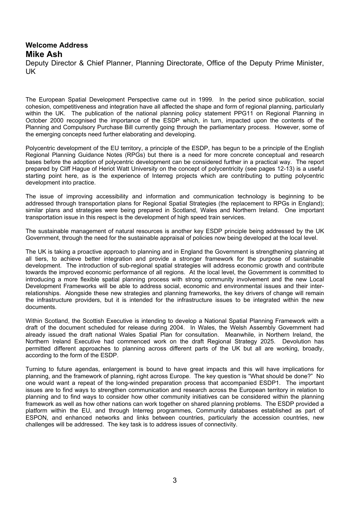## **Welcome Address Mike Ash**

Deputy Director & Chief Planner, Planning Directorate, Office of the Deputy Prime Minister, UK

The European Spatial Development Perspective came out in 1999. In the period since publication, social cohesion, competitiveness and integration have all affected the shape and form of regional planning, particularly within the UK. The publication of the national planning policy statement PPG11 on Regional Planning in October 2000 recognised the importance of the ESDP which, in turn, impacted upon the contents of the Planning and Compulsory Purchase Bill currently going through the parliamentary process. However, some of the emerging concepts need further elaborating and developing.

Polycentric development of the EU territory, a principle of the ESDP, has begun to be a principle of the English Regional Planning Guidance Notes (RPGs) but there is a need for more concrete conceptual and research bases before the adoption of polycentric development can be considered further in a practical way. The report prepared by Cliff Hague of Heriot Watt University on the concept of polycentricity (see pages 12-13) is a useful starting point here, as is the experience of Interreg projects which are contributing to putting polycentric development into practice.

The issue of improving accessibility and information and communication technology is beginning to be addressed through transportation plans for Regional Spatial Strategies (the replacement to RPGs in England); similar plans and strategies were being prepared in Scotland, Wales and Northern Ireland. One important transportation issue in this respect is the development of high speed train services.

The sustainable management of natural resources is another key ESDP principle being addressed by the UK Government, through the need for the sustainable appraisal of policies now being developed at the local level.

The UK is taking a proactive approach to planning and in England the Government is strengthening planning at all tiers, to achieve better integration and provide a stronger framework for the purpose of sustainable development. The introduction of sub-regional spatial strategies will address economic growth and contribute towards the improved economic performance of all regions. At the local level, the Government is committed to introducing a more flexible spatial planning process with strong community involvement and the new Local Development Frameworks will be able to address social, economic and environmental issues and their interrelationships. Alongside these new strategies and planning frameworks, the key drivers of change will remain the infrastructure providers, but it is intended for the infrastructure issues to be integrated within the new documents.

Within Scotland, the Scottish Executive is intending to develop a National Spatial Planning Framework with a draft of the document scheduled for release during 2004. In Wales, the Welsh Assembly Government had already issued the draft national Wales Spatial Plan for consultation. Meanwhile, in Northern Ireland, the Northern Ireland Executive had commenced work on the draft Regional Strategy 2025. Devolution has permitted different approaches to planning across different parts of the UK but all are working, broadly, according to the form of the ESDP.

Turning to future agendas, enlargement is bound to have great impacts and this will have implications for planning, and the framework of planning, right across Europe. The key question is "What should be done?" No one would want a repeat of the long-winded preparation process that accompanied ESDP1. The important issues are to find ways to strengthen communication and research across the European territory in relation to planning and to find ways to consider how other community initiatives can be considered within the planning framework as well as how other nations can work together on shared planning problems. The ESDP provided a platform within the EU, and through Interreg programmes, Community databases established as part of ESPON, and enhanced networks and links between countries, particularly the accession countries, new challenges will be addressed. The key task is to address issues of connectivity.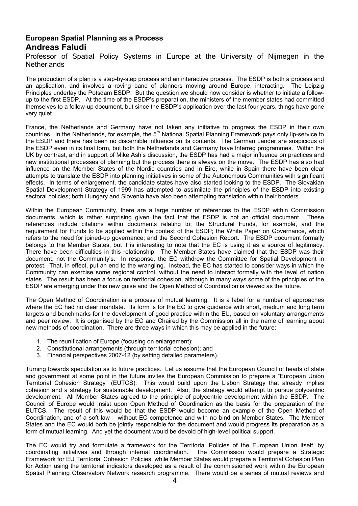# **European Spatial Planning as a Process Andreas Faludi**

Professor of Spatial Policy Systems in Europe at the University of Nijmegen in the Netherlands

The production of a plan is a step-by-step process and an interactive process. The ESDP is both a process and an application, and involves a roving band of planners moving around Europe, interacting. The Leipzig Principles underlay the Potsdam ESDP. But the question we should now consider is whether to initiate a followup to the first ESDP. At the time of the ESDP's preparation, the ministers of the member states had committed themselves to a follow-up document, but since the ESDP's application over the last four years, things have gone very quiet.

France, the Netherlands and Germany have not taken any initiative to progress the ESDP in their own countries. In the Netherlands, for example, the 5<sup>th</sup> National Spatial Planning Framework pays only lip-service to the ESDP and there has been no discernible influence on its contents. The German Länder are suspicious of the ESDP even in its final form, but both the Netherlands and Germany have Interreg programmes. Within the UK by contrast, and in support of Mike Ash's discussion, the ESDP has had a major influence on practices and new institutional processes of planning but the process there is always on the move. The ESDP has also had influence on the Member States of the Nordic countries and in Eire, while in Spain there have been clear attempts to translate the ESDP into planning initiatives in some of the Autonomous Communities with significant effects. In terms of enlargement, the candidate states have also started looking to the ESDP. The Slovakian Spatial Development Strategy of 1999 has attempted to assimilate the principles of the ESDP into existing sectoral policies; both Hungary and Slovenia have also been attempting translation within their borders.

Within the European Community, there are a large number of references to the ESDP within Commission documents, which is rather surprising given the fact that the ESDP is not an official document. These references include citations within documents relating to: the Structural Funds, for example, and the requirement for Funds to be applied within the context of the ESDP; the White Paper on Governance, which refers to the need for joined-up governance; and the Second Cohesion Report. The ESDP document formally belongs to the Member States, but it is interesting to note that the EC is using it as a source of legitimacy. There have been difficulties in this relationship. The Member States have claimed that the ESDP was their document, not the Community's. In response, the EC withdrew the Committee for Spatial Development in protest. That, in effect, put an end to the wrangling. Instead, the EC has started to consider ways in which the Community can exercise some regional control, without the need to interact formally with the level of nation states. The result has been a focus on territorial cohesion, although in many ways some of the principles of the ESDP are emerging under this new guise and the Open Method of Coordination is viewed as the future.

The Open Method of Coordination is a process of mutual learning. It is a label for a number of approaches where the EC had no clear mandate. Its form is for the EC to give guidance with short, medium and long term targets and benchmarks for the development of good practice within the EU, based on voluntary arrangements and peer review. It is organised by the EC and Chaired by the Commission all in the name of learning about new methods of coordination. There are three ways in which this may be applied in the future:

- 1. The reunification of Europe (focusing on enlargement);
- 2. Constitutional arrangements (through territorial cohesion); and
- 3. Financial perspectives 2007-12 (by setting detailed parameters).

Turning towards speculation as to future practices. Let us assume that the European Council of heads of state and government at some point in the future invites the European Commission to prepare a "European Union Territorial Cohesion Strategy" (EUTCS). This would build upon the Lisbon Strategy that already implies cohesion and a strategy for sustainable development. Also, the strategy would attempt to pursue polycentric development. All Member States agreed to the principle of polycentric development within the ESDP. The Council of Europe would insist upon Open Method of Coordination as the basis for the preparation of the EUTCS. The result of this would be that the ESDP would become an example of the Open Method of Coordination, and of a soft law – without EC competence and with no bind on Member States. The Member States and the EC would both be jointly responsible for the document and would progress its preparation as a form of mutual learning. And yet the document would be devoid of high-level political support.

The EC would try and formulate a framework for the Territorial Policies of the European Union itself, by coordinating initiatives and through internal coordination. The Commission would prepare a Strategic Framework for EU Territorial Cohesion Policies, while Member States would prepare a Territorial Cohesion Plan for Action using the territorial indicators developed as a result of the commissioned work within the European Spatial Planning Observatory Network research programme. There would be a series of mutual reviews and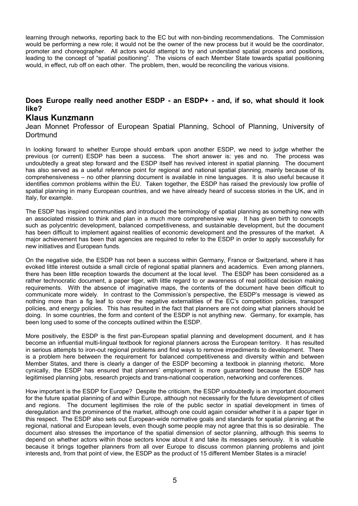learning through networks, reporting back to the EC but with non-binding recommendations. The Commission would be performing a new role; it would not be the owner of the new process but it would be the coordinator, promoter and choreographer. All actors would attempt to try and understand spatial process and positions, leading to the concept of "spatial positioning". The visions of each Member State towards spatial positioning would, in effect, rub off on each other. The problem, then, would be reconciling the various visions.

### **Does Europe really need another ESDP - an ESDP+ - and, if so, what should it look like?**

## **Klaus Kunzmann**

Jean Monnet Professor of European Spatial Planning, School of Planning, University of **Dortmund** 

In looking forward to whether Europe should embark upon another ESDP, we need to judge whether the previous (or current) ESDP has been a success. The short answer is: yes and no. The process was undoubtedly a great step forward and the ESDP itself has revived interest in spatial planning. The document has also served as a useful reference point for regional and national spatial planning, mainly because of its comprehensiveness – no other planning document is available in nine languages. It is also useful because it identifies common problems within the EU. Taken together, the ESDP has raised the previously low profile of spatial planning in many European countries, and we have already heard of success stories in the UK, and in Italy, for example.

The ESDP has inspired communities and introduced the terminology of spatial planning as something new with an associated mission to think and plan in a much more comprehensive way. It has given birth to concepts such as polycentric development, balanced competitiveness, and sustainable development, but the document has been difficult to implement against realities of economic development and the pressures of the market. A major achievement has been that agencies are required to refer to the ESDP in order to apply successfully for new initiatives and European funds.

On the negative side, the ESDP has not been a success within Germany, France or Switzerland, where it has evoked little interest outside a small circle of regional spatial planners and academics. Even among planners, there has been little reception towards the document at the local level. The ESDP has been considered as a rather technocratic document, a paper tiger, with little regard to or awareness of real political decision making requirements. With the absence of imaginative maps, the contents of the document have been difficult to communicate more widely. In contrast to the Commission's perspective, the ESDP's message is viewed as nothing more than a fig leaf to cover the negative externalities of the EC's competition policies, transport policies, and energy policies. This has resulted in the fact that planners are not doing what planners should be doing. In some countries, the form and content of the ESDP is not anything new. Germany, for example, has been long used to some of the concepts outlined within the ESDP.

More positively, the ESDP is the first pan-European spatial planning and development document, and it has become an influential multi-lingual textbook for regional planners across the European territory. It has resulted in serious attempts to iron-out regional problems and find ways to remove impediments to development. There is a problem here between the requirement for balanced competitiveness and diversity within and between Member States, and there is clearly a danger of the ESDP becoming a textbook in planning rhetoric. More cynically, the ESDP has ensured that planners' employment is more guaranteed because the ESDP has legitimised planning jobs, research projects and trans-national cooperation, networking and conferences.

How important is the ESDP for Europe? Despite the criticism, the ESDP undoubtedly is an important document for the future spatial planning of and within Europe, although not necessarily for the future development of cities and regions. The document legitimises the role of the public sector in spatial development in times of deregulation and the prominence of the market, although one could again consider whether it is a paper tiger in this respect. The ESDP also sets out European-wide normative goals and standards for spatial planning at the regional, national and European levels, even though some people may not agree that this is so desirable. The document also stresses the importance of the spatial dimension of sector planning, although this seems to depend on whether actors within those sectors know about it and take its messages seriously. It is valuable because it brings together planners from all over Europe to discuss common planning problems and joint interests and, from that point of view, the ESDP as the product of 15 different Member States is a miracle!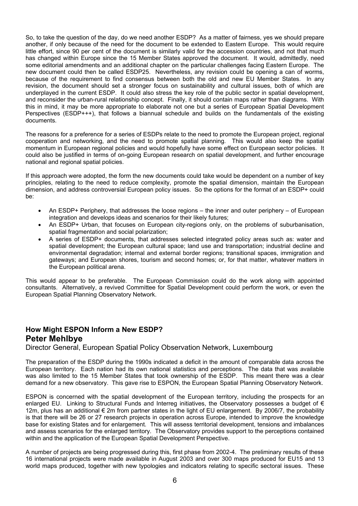So, to take the question of the day, do we need another ESDP? As a matter of fairness, yes we should prepare another, if only because of the need for the document to be extended to Eastern Europe. This would require little effort, since 90 per cent of the document is similarly valid for the accession countries, and not that much has changed within Europe since the 15 Member States approved the document. It would, admittedly, need some editorial amendments and an additional chapter on the particular challenges facing Eastern Europe. The new document could then be called ESDP25. Nevertheless, any revision could be opening a can of worms, because of the requirement to find consensus between both the old and new EU Member States. In any revision, the document should set a stronger focus on sustainability and cultural issues, both of which are underplayed in the current ESDP. It could also stress the key role of the public sector in spatial development, and reconsider the urban-rural relationship concept. Finally, it should contain maps rather than diagrams. With this in mind, it may be more appropriate to elaborate not one but a series of European Spatial Development Perspectives (ESDP+++), that follows a biannual schedule and builds on the fundamentals of the existing documents.

The reasons for a preference for a series of ESDPs relate to the need to promote the European project, regional cooperation and networking, and the need to promote spatial planning. This would also keep the spatial momentum in European regional policies and would hopefully have some effect on European sector policies. It could also be justified in terms of on-going European research on spatial development, and further encourage national and regional spatial policies.

If this approach were adopted, the form the new documents could take would be dependent on a number of key principles, relating to the need to reduce complexity, promote the spatial dimension, maintain the European dimension, and address controversial European policy issues. So the options for the format of an ESDP+ could be:

- An ESDP+ Periphery, that addresses the loose regions the inner and outer periphery of European integration and develops ideas and scenarios for their likely futures;
- An ESDP+ Urban, that focuses on European city-regions only, on the problems of suburbanisation, spatial fragmentation and social polarization;
- A series of ESDP+ documents, that addresses selected integrated policy areas such as: water and spatial development; the European cultural space; land use and transportation; industrial decline and environmental degradation; internal and external border regions; transitional spaces, immigration and gateways; and European shores, tourism and second homes; or, for that matter, whatever matters in the European political arena.

This would appear to be preferable. The European Commission could do the work along with appointed consultants. Alternatively, a revived Committee for Spatial Development could perform the work, or even the European Spatial Planning Observatory Network.

# **How Might ESPON Inform a New ESDP? Peter Mehlbye**

Director General, European Spatial Policy Observation Network, Luxembourg

The preparation of the ESDP during the 1990s indicated a deficit in the amount of comparable data across the European territory. Each nation had its own national statistics and perceptions. The data that was available was also limited to the 15 Member States that took ownership of the ESDP. This meant there was a clear demand for a new observatory. This gave rise to ESPON, the European Spatial Planning Observatory Network.

ESPON is concerned with the spatial development of the European territory, including the prospects for an enlarged EU. Linking to Structural Funds and Interreg initiatives, the Observatory possesses a budget of € 12m, plus has an additional € 2m from partner states in the light of EU enlargement. By 2006/7, the probability is that there will be 26 or 27 research projects in operation across Europe, intended to improve the knowledge base for existing States and for enlargement. This will assess territorial development, tensions and imbalances and assess scenarios for the enlarged territory. The Observatory provides support to the perceptions contained within and the application of the European Spatial Development Perspective.

A number of projects are being progressed during this, first phase from 2002-4. The preliminary results of these 16 international projects were made available in August 2003 and over 300 maps produced for EU15 and 13 world maps produced, together with new typologies and indicators relating to specific sectoral issues. These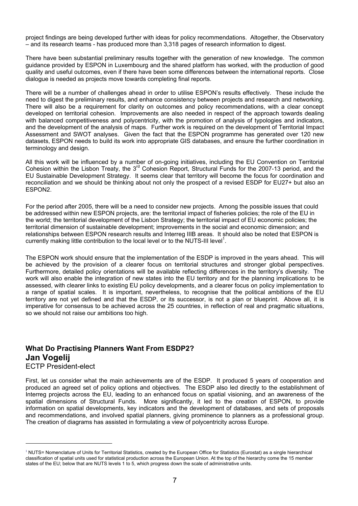project findings are being developed further with ideas for policy recommendations. Altogether, the Observatory – and its research teams - has produced more than 3,318 pages of research information to digest.

There have been substantial preliminary results together with the generation of new knowledge. The common guidance provided by ESPON in Luxembourg and the shared platform has worked, with the production of good quality and useful outcomes, even if there have been some differences between the international reports. Close dialogue is needed as projects move towards completing final reports.

There will be a number of challenges ahead in order to utilise ESPON's results effectively. These include the need to digest the preliminary results, and enhance consistency between projects and research and networking. There will also be a requirement for clarity on outcomes and policy recommendations, with a clear concept developed on territorial cohesion. Improvements are also needed in respect of the approach towards dealing with balanced competitiveness and polycentricity, with the promotion of analysis of typologies and indicators, and the development of the analysis of maps. Further work is required on the development of Territorial Impact Assessment and SWOT analyses. Given the fact that the ESPON programme has generated over 120 new datasets, ESPON needs to build its work into appropriate GIS databases, and ensure the further coordination in terminology and design.

All this work will be influenced by a number of on-going initiatives, including the EU Convention on Territorial Cohesion within the Lisbon Treaty, the 3rd Cohesion Report, Structural Funds for the 2007-13 period, and the EU Sustainable Development Strategy. It seems clear that territory will become the focus for coordination and reconciliation and we should be thinking about not only the prospect of a revised ESDP for EU27+ but also an ESPON2.

For the period after 2005, there will be a need to consider new projects. Among the possible issues that could be addressed within new ESPON projects, are: the territorial impact of fisheries policies; the role of the EU in the world; the territorial development of the Lisbon Strategy; the territorial impact of EU economic policies; the territorial dimension of sustainable development; improvements in the social and economic dimension; and relationships between ESPON research results and Interreg IIIB areas. It should also be noted that ESPON is currently making little contribution to the local level or to the NUTS-III level<sup>1</sup>[.](#page-6-0)

The ESPON work should ensure that the implementation of the ESDP is improved in the years ahead. This will be achieved by the provision of a clearer focus on territorial structures and stronger global perspectives. Furthermore, detailed policy orientations will be available reflecting differences in the territory's diversity. The work will also enable the integration of new states into the EU territory and for the planning implications to be assessed, with clearer links to existing EU policy developments, and a clearer focus on policy implementation to a range of spatial scales. It is important, nevertheless, to recognise that the political ambitions of the EU territory are not yet defined and that the ESDP, or its successor, is not a plan or blueprint. Above all, it is imperative for consensus to be achieved across the 25 countries, in reflection of real and pragmatic situations, so we should not raise our ambitions too high.

# **What Do Practising Planners Want From ESDP2? Jan Vogelij**

ECTP President-elect

 $\overline{a}$ 

First, let us consider what the main achievements are of the ESDP. It produced 5 years of cooperation and produced an agreed set of policy options and objectives. The ESDP also led directly to the establishment of Interreg projects across the EU, leading to an enhanced focus on spatial visioning, and an awareness of the spatial dimensions of Structural Funds. More significantly, it led to the creation of ESPON, to provide information on spatial developments, key indicators and the development of databases, and sets of proposals and recommendations, and involved spatial planners, giving prominence to planners as a professional group. The creation of diagrams has assisted in formulating a view of polycentricity across Europe.

<span id="page-6-0"></span><sup>&</sup>lt;sup>1</sup> NUTS= Nomenclature of Units for Territorial Statistics, created by the European Office for Statistics (Eurostat) as a single hierarchical classification of spatial units used for statistical production across the European Union. At the top of the hierarchy come the 15 member states of the EU; below that are NUTS levels 1 to 5, which progress down the scale of administrative units.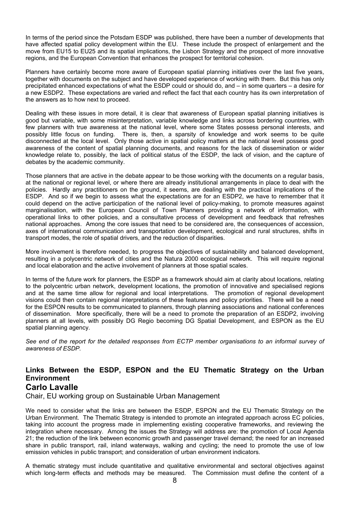In terms of the period since the Potsdam ESDP was published, there have been a number of developments that have affected spatial policy development within the EU. These include the prospect of enlargement and the move from EU15 to EU25 and its spatial implications, the Lisbon Strategy and the prospect of more innovative regions, and the European Convention that enhances the prospect for territorial cohesion.

Planners have certainly become more aware of European spatial planning initiatives over the last five years, together with documents on the subject and have developed experience of working with them. But this has only precipitated enhanced expectations of what the ESDP could or should do, and – in some quarters – a desire for a new ESDP2. These expectations are varied and reflect the fact that each country has its own interpretation of the answers as to how next to proceed.

Dealing with these issues in more detail, it is clear that awareness of European spatial planning initiatives is good but variable, with some misinterpretation, variable knowledge and links across bordering countries, with few planners with true awareness at the national level, where some States possess personal interests, and possibly little focus on funding. There is, then, a sparsity of knowledge and work seems to be quite disconnected at the local level. Only those active in spatial policy matters at the national level possess good awareness of the content of spatial planning documents, and reasons for the lack of dissemination or wider knowledge relate to, possibly, the lack of political status of the ESDP, the lack of vision, and the capture of debates by the academic community.

Those planners that are active in the debate appear to be those working with the documents on a regular basis, at the national or regional level, or where there are already institutional arrangements in place to deal with the policies. Hardly any practitioners on the ground, it seems, are dealing with the practical implications of the ESDP. And so if we begin to assess what the expectations are for an ESDP2, we have to remember that it could depend on the active participation of the national level of policy-making, to promote measures against marginalisation, with the European Council of Town Planners providing a network of information, with operational links to other policies, and a consultative process of development and feedback that refreshes national approaches. Among the core issues that need to be considered are, the consequences of accession, axes of international communication and transportation development, ecological and rural structures, shifts in transport modes, the role of spatial drivers, and the reduction of disparities.

More involvement is therefore needed, to progress the objectives of sustainability and balanced development, resulting in a polycentric network of cities and the Natura 2000 ecological network. This will require regional and local elaboration and the active involvement of planners at those spatial scales.

In terms of the future work for planners, the ESDP as a framework should aim at clarity about locations, relating to the polycentric urban network, development locations, the promotion of innovative and specialised regions and at the same time allow for regional and local interpretations. The promotion of regional development visions could then contain regional interpretations of these features and policy priorities. There will be a need for the ESPON results to be communicated to planners, through planning associations and national conferences of dissemination. More specifically, there will be a need to promote the preparation of an ESDP2, involving planners at all levels, with possibly DG Regio becoming DG Spatial Development, and ESPON as the EU spatial planning agency.

*See end of the report for the detailed responses from ECTP member organisations to an informal survey of awareness of ESDP.* 

## **Links Between the ESDP, ESPON and the EU Thematic Strategy on the Urban Environment Carlo Lavalle**

Chair, EU working group on Sustainable Urban Management

We need to consider what the links are between the ESDP, ESPON and the EU Thematic Strategy on the Urban Environment. The Thematic Strategy is intended to promote an integrated approach across EC policies, taking into account the progress made in implementing existing cooperative frameworks, and reviewing the integration where necessary. Among the issues the Strategy will address are: the promotion of Local Agenda 21; the reduction of the link between economic growth and passenger travel demand; the need for an increased share in public transport, rail, inland waterways, walking and cycling; the need to promote the use of low emission vehicles in public transport; and consideration of urban environment indicators.

A thematic strategy must include quantitative and qualitative environmental and sectoral objectives against which long-term effects and methods may be measured. The Commission must define the content of a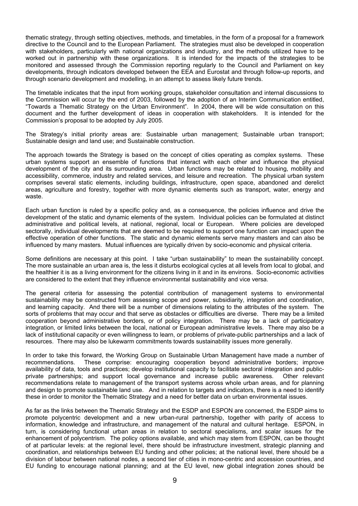thematic strategy, through setting objectives, methods, and timetables, in the form of a proposal for a framework directive to the Council and to the European Parliament. The strategies must also be developed in cooperation with stakeholders, particularly with national organizations and industry, and the methods utilized have to be worked out in partnership with these organizations. It is intended for the impacts of the strategies to be monitored and assessed through the Commission reporting regularly to the Council and Parliament on key developments, through indicators developed between the EEA and Eurostat and through follow-up reports, and through scenario development and modelling, in an attempt to assess likely future trends.

The timetable indicates that the input from working groups, stakeholder consultation and internal discussions to the Commission will occur by the end of 2003, followed by the adoption of an Interim Communication entitled, "Towards a Thematic Strategy on the Urban Environment". In 2004, there will be wide consultation on this document and the further development of ideas in cooperation with stakeholders. It is intended for the Commission's proposal to be adopted by July 2005.

The Strategy's initial priority areas are: Sustainable urban management; Sustainable urban transport; Sustainable design and land use; and Sustainable construction.

The approach towards the Strategy is based on the concept of cities operating as complex systems. These urban systems support an ensemble of functions that interact with each other and influence the physical development of the city and its surrounding area. Urban functions may be related to housing, mobility and accessibility, commerce, industry and related services, and leisure and recreation. The physical urban system comprises several static elements, including buildings, infrastructure, open space, abandoned and derelict areas, agriculture and forestry, together with more dynamic elements such as transport, water, energy and waste.

Each urban function is ruled by a specific policy and, as a consequence, the policies influence and drive the development of the static and dynamic elements of the system. Individual policies can be formulated at distinct administrative and political levels, at national, regional, local or European. Where policies are developed sectorally, individual developments that are deemed to be required to support one function can impact upon the effective operation of other functions. The static and dynamic elements serve many masters and can also be influenced by many masters. Mutual influences are typically driven by socio-economic and physical criteria.

Some definitions are necessary at this point. I take "urban sustainability" to mean the sustainability concept. The more sustainable an urban area is, the less it disturbs ecological cycles at all levels from local to global, and the healthier it is as a living environment for the citizens living in it and in its environs. Socio-economic activities are considered to the extent that they influence environmental sustainability and vice versa.

The general criteria for assessing the potential contribution of management systems to environmental sustainability may be constructed from assessing scope and power, subsidiarity, integration and coordination, and learning capacity. And there will be a number of dimensions relating to the attributes of the system. The sorts of problems that may occur and that serve as obstacles or difficulties are diverse. There may be a limited cooperation beyond administrative borders, or of policy integration. There may be a lack of participatory integration, or limited links between the local, national or European administrative levels. There may also be a lack of institutional capacity or even willingness to learn, or problems of private-public partnerships and a lack of resources. There may also be lukewarm commitments towards sustainability issues more generally.

In order to take this forward, the Working Group on Sustainable Urban Management have made a number of recommendations. These comprise: encouraging cooperation beyond administrative borders; improve availability of data, tools and practices; develop institutional capacity to facilitate sectoral integration and publicprivate partnerships; and support local governance and increase public awareness. Other relevant recommendations relate to management of the transport systems across whole urban areas, and for planning and design to promote sustainable land use. And in relation to targets and indicators, there is a need to identify these in order to monitor the Thematic Strategy and a need for better data on urban environmental issues.

As far as the links between the Thematic Strategy and the ESDP and ESPON are concerned, the ESDP aims to promote polycentric development and a new urban-rural partnership, together with parity of access to information, knowledge and infrastructure, and management of the natural and cultural heritage. ESPON, in turn, is considering functional urban areas in relation to sectoral specialisms, and scalar issues for the enhancement of polycentrism. The policy options available, and which may stem from ESPON, can be thought of at particular levels: at the regional level, there should be infrastructure investment, strategic planning and coordination, and relationships between EU funding and other policies; at the national level, there should be a division of labour between national nodes, a second tier of cities in mono-centric and accession countries, and EU funding to encourage national planning; and at the EU level, new global integration zones should be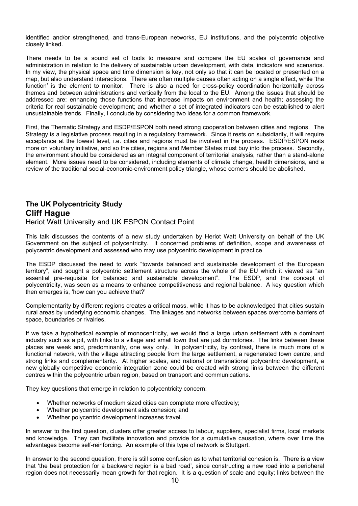identified and/or strengthened, and trans-European networks, EU institutions, and the polycentric objective closely linked.

There needs to be a sound set of tools to measure and compare the EU scales of governance and administration in relation to the delivery of sustainable urban development, with data, indicators and scenarios. In my view, the physical space and time dimension is key, not only so that it can be located or presented on a map, but also understand interactions. There are often multiple causes often acting on a single effect, while 'the function' is the element to monitor. There is also a need for cross-policy coordination horizontally across themes and between administrations and vertically from the local to the EU. Among the issues that should be addressed are: enhancing those functions that increase impacts on environment and health; assessing the criteria for real sustainable development; and whether a set of integrated indicators can be established to alert unsustainable trends. Finally, I conclude by considering two ideas for a common framework.

First, the Thematic Strategy and ESDP/ESPON both need strong cooperation between cities and regions. The Strategy is a legislative process resulting in a regulatory framework. Since it rests on subsidiarity, it will require acceptance at the lowest level, i.e. cities and regions must be involved in the process. ESDP/ESPON rests more on voluntary initiative, and so the cities, regions and Member States must buy into the process. Secondly, the environment should be considered as an integral component of territorial analysis, rather than a stand-alone element. More issues need to be considered, including elements of climate change, health dimensions, and a review of the traditional social-economic-environment policy triangle, whose corners should be abolished.

## **The UK Polycentricity Study Cliff Hague**  Heriot Watt University and UK ESPON Contact Point

This talk discusses the contents of a new study undertaken by Heriot Watt University on behalf of the UK Government on the subject of polycentricity. It concerned problems of definition, scope and awareness of polycentric development and assessed who may use polycentric development in practice.

The ESDP discussed the need to work "towards balanced and sustainable development of the European territory", and sought a polycentric settlement structure across the whole of the EU which it viewed as "an essential pre-requisite for balanced and sustainable development". The ESDP, and the concept of polycentricity, was seen as a means to enhance competitiveness and regional balance. A key question which then emerges is, 'how can you achieve that?'

Complementarity by different regions creates a critical mass, while it has to be acknowledged that cities sustain rural areas by underlying economic changes. The linkages and networks between spaces overcome barriers of space, boundaries or rivalries.

If we take a hypothetical example of monocentricity, we would find a large urban settlement with a dominant industry such as a pit, with links to a village and small town that are just dormitories. The links between these places are weak and, predominantly, one way only. In polycentricity, by contrast, there is much more of a functional network, with the village attracting people from the large settlement, a regenerated town centre, and strong links and complementarity. At higher scales, and national or transnational polycentric development, a new globally competitive economic integration zone could be created with strong links between the different centres within the polycentric urban region, based on transport and communications.

They key questions that emerge in relation to polycentricity concern:

- Whether networks of medium sized cities can complete more effectively;
- Whether polycentric development aids cohesion; and
- Whether polycentric development increases travel.

In answer to the first question, clusters offer greater access to labour, suppliers, specialist firms, local markets and knowledge. They can facilitate innovation and provide for a cumulative causation, where over time the advantages become self-reinforcing. An example of this type of network is Stuttgart.

In answer to the second question, there is still some confusion as to what territorial cohesion is. There is a view that 'the best protection for a backward region is a bad road', since constructing a new road into a peripheral region does not necessarily mean growth for that region. It is a question of scale and equity; links between the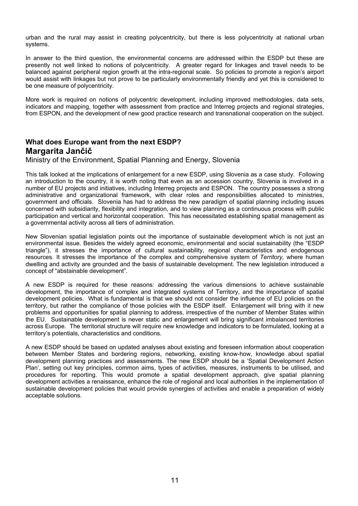urban and the rural may assist in creating polycentricity, but there is less polycentricity at national urban systems.

In answer to the third question, the environmental concerns are addressed within the ESDP but these are presently not well linked to notions of polycentricity. A greater regard for linkages and travel needs to be balanced against peripheral region growth at the intra-regional scale. So policies to promote a region's airport would assist with linkages but not prove to be particularly environmentally friendly and yet this is considered to be one measure of polycentricity.

More work is required on notions of polycentric development, including improved methodologies, data sets, indicators and mapping, together with assessment from practice and Interreg projects and regional strategies, from ESPON, and the development of new good practice research and transnational cooperation on the subject.

# **What does Europe want from the next ESDP? Margarita Jančič**

Ministry of the Environment, Spatial Planning and Energy, Slovenia

This talk looked at the implications of enlargement for a new ESDP, using Slovenia as a case study. Following an introduction to the country, it is worth noting that even as an accession country, Slovenia is involved in a number of EU projects and initiatives, including Interreg projects and ESPON. The country possesses a strong administrative and organizational framework, with clear roles and responsibilities allocated to ministries, government and officials. Slovenia has had to address the new paradigm of spatial planning including issues concerned with subsidiarity, flexibility and integration, and to view planning as a continuous process with public participation and vertical and horizontal cooperation. This has necessitated establishing spatial management as a governmental activity across all tiers of administration.

New Slovenian spatial legislation points out the importance of sustainable development which is not just an environmental issue. Besides the widely agreed economic, environmental and social sustainability (the "ESDP triangle"), it stresses the importance of cultural sustainability, regional characteristics and endogenous resources. It stresses the importance of the complex and comprehensive system of *Territory,* where human dwelling and activity are grounded and the basis of sustainable development. The new legislation introduced a concept of "abstainable development".

A new ESDP is required for these reasons: addressing the various dimensions to achieve sustainable development, the importance of complex and integrated systems of Territory, and the importance of spatial development policies. What is fundamental is that we should not consider the influence of EU policies on the territory, but rather the compliance of those policies with the ESDP itself. Enlargement will bring with it new problems and opportunities for spatial planning to address, irrespective of the number of Member States within the EU. Sustainable development is never static and enlargement will bring significant imbalanced territories across Europe. The territorial structure will require new knowledge and indicators to be formulated, looking at a territory's potentials, characteristics and conditions.

A new ESDP should be based on updated analyses about existing and foreseen information about cooperation between Member States and bordering regions, networking, existing know-how, knowledge about spatial development planning practices and assessments. The new ESDP should be a 'Spatial Development Action Plan', setting out key principles, common aims, types of activities, measures, instruments to be utilised, and procedures for reporting. This would promote a spatial development approach, give spatial planning development activities a renaissance, enhance the role of regional and local authorities in the implementation of sustainable development policies that would provide synergies of activities and enable a preparation of widely acceptable solutions.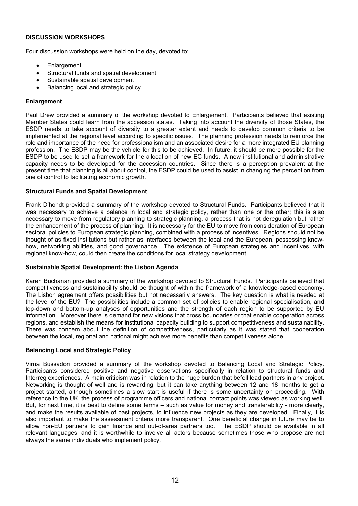#### **DISCUSSION WORKSHOPS**

Four discussion workshops were held on the day, devoted to:

- **Enlargement**
- Structural funds and spatial development
- Sustainable spatial development
- Balancing local and strategic policy

#### **Enlargement**

Paul Drew provided a summary of the workshop devoted to Enlargement. Participants believed that existing Member States could learn from the accession states. Taking into account the diversity of those States, the ESDP needs to take account of diversity to a greater extent and needs to develop common criteria to be implemented at the regional level according to specific issues. The planning profession needs to reinforce the role and importance of the need for professionalism and an associated desire for a more integrated EU planning profession. The ESDP may be the vehicle for this to be achieved. In future, it should be more possible for the ESDP to be used to set a framework for the allocation of new EC funds. A new institutional and administrative capacity needs to be developed for the accession countries. Since there is a perception prevalent at the present time that planning is all about control, the ESDP could be used to assist in changing the perception from one of control to facilitating economic growth.

#### **Structural Funds and Spatial Development**

Frank D'hondt provided a summary of the workshop devoted to Structural Funds. Participants believed that it was necessary to achieve a balance in local and strategic policy, rather than one or the other; this is also necessary to move from regulatory planning to strategic planning, a process that is not deregulation but rather the enhancement of the process of planning. It is necessary for the EU to move from consideration of European sectoral policies to European strategic planning, combined with a process of incentives. Regions should not be thought of as fixed institutions but rather as interfaces between the local and the European, possessing knowhow, networking abilities, and good governance. The existence of European strategies and incentives, with regional know-how, could then create the conditions for local strategy development.

#### **Sustainable Spatial Development: the Lisbon Agenda**

Karen Buchanan provided a summary of the workshop devoted to Structural Funds. Participants believed that competitiveness and sustainability should be thought of within the framework of a knowledge-based economy. The Lisbon agreement offers possibilities but not necessarily answers. The key question is what is needed at the level of the EU? The possibilities include a common set of policies to enable regional specialisation, and top-down and bottom-up analyses of opportunities and the strength of each region to be supported by EU information. Moreover there is demand for new visions that cross boundaries or that enable cooperation across regions, and establish the means for institutional capacity building to support competitiveness and sustainability. There was concern about the definition of competitiveness, particularly as it was stated that cooperation between the local, regional and national might achieve more benefits than competitiveness alone.

#### **Balancing Local and Strategic Policy**

Virna Bussadori provided a summary of the workshop devoted to Balancing Local and Strategic Policy. Participants considered positive and negative observations specifically in relation to structural funds and Interreg experiences. A main criticism was in relation to the huge burden that befell lead partners in any project. Networking is thought of well and is rewarding, but it can take anything between 12 and 18 months to get a proiect started, although sometimes a slow start is useful if there is some uncertainty on proceeding. With reference to the UK, the process of programme officers and national contact points was viewed as working well. But, for next time, it is best to define some terms – such as value for money and transferability - more clearly, and make the results available of past projects, to influence new projects as they are developed. Finally, it is also important to make the assessment criteria more transparent. One beneficial change in future may be to allow non-EU partners to gain finance and out-of-area partners too. The ESDP should be available in all relevant languages, and it is worthwhile to involve all actors because sometimes those who propose are not always the same individuals who implement policy.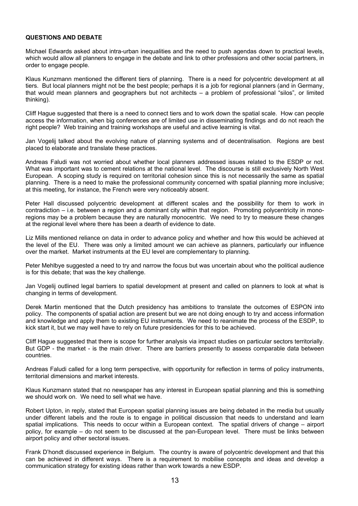#### **QUESTIONS AND DEBATE**

Michael Edwards asked about intra-urban inequalities and the need to push agendas down to practical levels, which would allow all planners to engage in the debate and link to other professions and other social partners, in order to engage people.

Klaus Kunzmann mentioned the different tiers of planning. There is a need for polycentric development at all tiers. But local planners might not be the best people; perhaps it is a job for regional planners (and in Germany, that would mean planners and geographers but not architects – a problem of professional "silos", or limited thinking).

Cliff Hague suggested that there is a need to connect tiers and to work down the spatial scale. How can people access the information, when big conferences are of limited use in disseminating findings and do not reach the right people? Web training and training workshops are useful and active learning is vital.

Jan Vogelij talked about the evolving nature of planning systems and of decentralisation. Regions are best placed to elaborate and translate these practices.

Andreas Faludi was not worried about whether local planners addressed issues related to the ESDP or not. What was important was to cement relations at the national level. The discourse is still exclusively North West European. A scoping study is required on territorial cohesion since this is not necessarily the same as spatial planning. There is a need to make the professional community concerned with spatial planning more inclusive; at this meeting, for instance, the French were very noticeably absent.

Peter Hall discussed polycentric development at different scales and the possibility for them to work in contradiction – i.e. between a region and a dominant city within that region. Promoting polycentricity in monoregions may be a problem because they are naturally monocentric. We need to try to measure these changes at the regional level where there has been a dearth of evidence to date.

Liz Mills mentioned reliance on data in order to advance policy and whether and how this would be achieved at the level of the EU. There was only a limited amount we can achieve as planners, particularly our influence over the market. Market instruments at the EU level are complementary to planning.

Peter Mehlbye suggested a need to try and narrow the focus but was uncertain about who the political audience is for this debate; that was the key challenge.

Jan Vogelij outlined legal barriers to spatial development at present and called on planners to look at what is changing in terms of development.

Derek Martin mentioned that the Dutch presidency has ambitions to translate the outcomes of ESPON into policy. The components of spatial action are present but we are not doing enough to try and access information and knowledge and apply them to existing EU instruments. We need to reanimate the process of the ESDP, to kick start it, but we may well have to rely on future presidencies for this to be achieved.

Cliff Hague suggested that there is scope for further analysis via impact studies on particular sectors territorially. But GDP - the market - is the main driver. There are barriers presently to assess comparable data between countries.

Andreas Faludi called for a long term perspective, with opportunity for reflection in terms of policy instruments, territorial dimensions and market interests.

Klaus Kunzmann stated that no newspaper has any interest in European spatial planning and this is something we should work on. We need to sell what we have.

Robert Upton, in reply, stated that European spatial planning issues are being debated in the media but usually under different labels and the route is to engage in political discussion that needs to understand and learn spatial implications. This needs to occur within a European context. The spatial drivers of change – airport policy, for example – do not seem to be discussed at the pan-European level. There must be links between airport policy and other sectoral issues.

Frank D'hondt discussed experience in Belgium. The country is aware of polycentric development and that this can be achieved in different ways. There is a requirement to mobilise concepts and ideas and develop a communication strategy for existing ideas rather than work towards a new ESDP.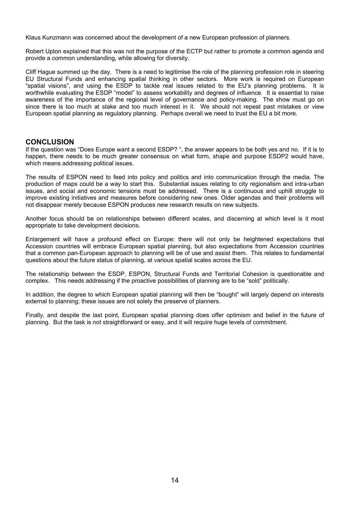Klaus Kunzmann was concerned about the development of a new European profession of planners.

Robert Upton explained that this was not the purpose of the ECTP but rather to promote a common agenda and provide a common understanding, while allowing for diversity.

Cliff Hague summed up the day. There is a need to legitimise the role of the planning profession role in steering EU Structural Funds and enhancing spatial thinking in other sectors. More work is required on European "spatial visions", and using the ESDP to tackle real issues related to the EU's planning problems. It is worthwhile evaluating the ESDP "model" to assess workability and degrees of influence. It is essential to raise awareness of the importance of the regional level of governance and policy-making. The show must go on since there is too much at stake and too much interest in it. We should not repeat past mistakes or view European spatial planning as regulatory planning. Perhaps overall we need to trust the EU a bit more.

#### **CONCLUSION**

If the question was "Does Europe want a second ESDP? ", the answer appears to be both yes and no. If it is to happen, there needs to be much greater consensus on what form, shape and purpose ESDP2 would have, which means addressing political issues.

The results of ESPON need to feed into policy and politics and into communication through the media. The production of maps could be a way to start this. Substantial issues relating to city regionalism and intra-urban issues, and social and economic tensions must be addressed. There is a continuous and uphill struggle to improve existing initiatives and measures before considering new ones. Older agendas and their problems will not disappear merely because ESPON produces new research results on new subjects.

Another focus should be on relationships between different scales, and discerning at which level is it most appropriate to take development decisions.

Enlargement will have a profound effect on Europe: there will not only be heightened expectations that Accession countries will embrace European spatial planning, but also expectations from Accession countries that a common pan-European approach to planning will be of use and assist them. This relates to fundamental questions about the future status of planning, at various spatial scales across the EU.

The relationship between the ESDP, ESPON, Structural Funds and Territorial Cohesion is questionable and complex. This needs addressing if the proactive possibilities of planning are to be "sold" politically.

In addition, the degree to which European spatial planning will then be "bought" will largely depend on interests external to planning; these issues are not solely the preserve of planners.

Finally, and despite the last point, European spatial planning does offer optimism and belief in the future of planning. But the task is not straightforward or easy, and it will require huge levels of commitment.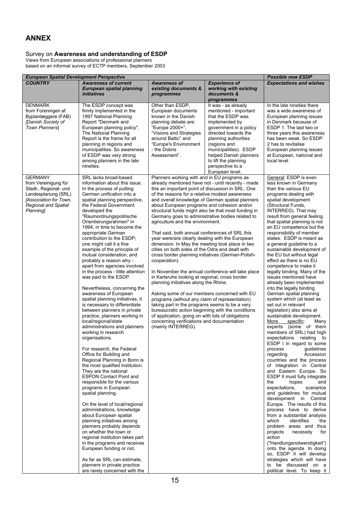# **ANNEX**

#### Survey on **Awareness and understanding of ESDP**

Views from European associations of professional planners based on an informal survey of ECTP members, September 2003

|                                                                                                                                                                     | <b>European Spatial Development Perspective</b>                                                                                                                                                                                                                                                                                                                                                                                                                                                                                                                                                                                                                                                                                                                                                                                                                                                                                                                                                                                                                                                                                                                                                                                                                                                                                                                                                                                                                                                      |                                                                                                                                                                                                                                                                                                                                                                                                                                                                                                                                                                                                                                                                                                                                                                                                                                                                                                                                                                                                                                                                                                                                                                          |                                                                                                                                                                                                                                                                                                 | <b>Possible new ESDP</b>                                                                                                                                                                                                                                                                                                                                                                                                                                                                                                                                                                                                                                                                                                                                                                                                                                                                                                                                                                                                                                                                                                                                                                                                                                                                                                                                                                                                                                                                                                          |
|---------------------------------------------------------------------------------------------------------------------------------------------------------------------|------------------------------------------------------------------------------------------------------------------------------------------------------------------------------------------------------------------------------------------------------------------------------------------------------------------------------------------------------------------------------------------------------------------------------------------------------------------------------------------------------------------------------------------------------------------------------------------------------------------------------------------------------------------------------------------------------------------------------------------------------------------------------------------------------------------------------------------------------------------------------------------------------------------------------------------------------------------------------------------------------------------------------------------------------------------------------------------------------------------------------------------------------------------------------------------------------------------------------------------------------------------------------------------------------------------------------------------------------------------------------------------------------------------------------------------------------------------------------------------------------|--------------------------------------------------------------------------------------------------------------------------------------------------------------------------------------------------------------------------------------------------------------------------------------------------------------------------------------------------------------------------------------------------------------------------------------------------------------------------------------------------------------------------------------------------------------------------------------------------------------------------------------------------------------------------------------------------------------------------------------------------------------------------------------------------------------------------------------------------------------------------------------------------------------------------------------------------------------------------------------------------------------------------------------------------------------------------------------------------------------------------------------------------------------------------|-------------------------------------------------------------------------------------------------------------------------------------------------------------------------------------------------------------------------------------------------------------------------------------------------|-----------------------------------------------------------------------------------------------------------------------------------------------------------------------------------------------------------------------------------------------------------------------------------------------------------------------------------------------------------------------------------------------------------------------------------------------------------------------------------------------------------------------------------------------------------------------------------------------------------------------------------------------------------------------------------------------------------------------------------------------------------------------------------------------------------------------------------------------------------------------------------------------------------------------------------------------------------------------------------------------------------------------------------------------------------------------------------------------------------------------------------------------------------------------------------------------------------------------------------------------------------------------------------------------------------------------------------------------------------------------------------------------------------------------------------------------------------------------------------------------------------------------------------|
| <b>COUNTRY</b>                                                                                                                                                      | <b>Awareness of current</b><br><b>European spatial planning</b><br>initiatives                                                                                                                                                                                                                                                                                                                                                                                                                                                                                                                                                                                                                                                                                                                                                                                                                                                                                                                                                                                                                                                                                                                                                                                                                                                                                                                                                                                                                       | <b>Awareness of</b><br>existing documents &<br>programmes                                                                                                                                                                                                                                                                                                                                                                                                                                                                                                                                                                                                                                                                                                                                                                                                                                                                                                                                                                                                                                                                                                                | <b>Experience of</b><br>working with existing<br>documents &<br>programmes                                                                                                                                                                                                                      | <b>Expectations and wishes</b>                                                                                                                                                                                                                                                                                                                                                                                                                                                                                                                                                                                                                                                                                                                                                                                                                                                                                                                                                                                                                                                                                                                                                                                                                                                                                                                                                                                                                                                                                                    |
| <b>DENMARK</b><br>from Foreningen af<br>Byplanlæggere (FAB)<br>[Danish Society of<br>Town Planners]                                                                 | The ESDP concept was<br>firmly implemented in the<br>1997 National Planning<br>Report "Denmark and<br>European planning policy".<br>The National Planning<br>Report is the frame for all<br>planning in regions and<br>municipalities. So awareness<br>of ESDP was very strong<br>among planners in the late<br>nineties.                                                                                                                                                                                                                                                                                                                                                                                                                                                                                                                                                                                                                                                                                                                                                                                                                                                                                                                                                                                                                                                                                                                                                                            | Other than ESDP,<br>European documents<br>known in the Danish<br>planning debate are:<br>"Europe 2000+",<br>"Visions and Strategies<br>around Baltic" and<br>"Europe's Environment<br>- the Dobris<br>Assessment".                                                                                                                                                                                                                                                                                                                                                                                                                                                                                                                                                                                                                                                                                                                                                                                                                                                                                                                                                       | It was - as already<br>mentioned - important<br>that the ESDP was<br>implemented by<br>government in a policy<br>directed towards the<br>planning authorities<br>(regions and<br>municipalities). ESDP<br>helped Danish planners<br>to lift the planning<br>perspective to a<br>European level. | In the late nineties there<br>was a wide awareness of<br>European planning issues<br>in Denmark because of<br>ESDP 1. The last two or<br>three years this awareness<br>has been weak. So ESDP<br>2 has to revitalise<br>European planning issues<br>at European, national and<br>local level                                                                                                                                                                                                                                                                                                                                                                                                                                                                                                                                                                                                                                                                                                                                                                                                                                                                                                                                                                                                                                                                                                                                                                                                                                      |
| <b>GERMANY</b><br>from Vereinigung für<br>Stadt-, Regional- und<br>Landesplanung (SRL)<br>[Association for Town,<br><b>Regional and Spatial</b><br><b>Planning1</b> | SRL lacks broad-based<br>information about this issue.<br>In the process of putting<br>German unification into a<br>spatial planning perspective,<br>the Federal Government<br>developed the<br>"Raumordnungspolitische<br>Orientierungsrahmen" in<br>1994, in time to become the<br>appropriate German<br>contribution to the ESDP;<br>one might call it a fine<br>example of the principle of<br>mutual consideration, and<br>probably a reason why -<br>apart from agencies involved<br>in the process - little attention<br>was paid to the ESDP.<br>Nevertheless, concerning the<br>awareness of European<br>spatial planning initiatives, it<br>is necessary to differentiate<br>between planners in private<br>practice, planners working in<br>local/regional/state<br>administrations and planners<br>working in research<br>organisations.<br>For research, the Federal<br>Office for Building and<br>Regional Planning in Bonn is<br>the most qualified institution.<br>They are the national<br><b>ESPON Contact Point and</b><br>responsible for the various<br>programs in European<br>spatial planning.<br>On the level of local/regional<br>administrations, knowledge<br>about European spatial<br>planning initiatives among<br>planners probably depends<br>on whether the town or<br>regional institution takes part<br>in the programs and receives<br>European funding or not.<br>As far as SRL can estimate,<br>planners in private practice<br>are rarely concerned with the | Planners working with and in EU programs as<br>already mentioned have not - until recently - made<br>this an important point of discussion in SRL. One<br>of the reasons for a relative modest awareness<br>and overall knowledge of German spatial planners<br>about European programs and cohesion and/or<br>structural funds might also be that most funding in<br>Germany goes to administrative bodies related to<br>agriculture and the environment.<br>That said, both annual conferences of SRL this<br>year were/are clearly dealing with the European<br>dimension. In May the meeting took place in two<br>cities on both sides of the Odra and dealt with<br>cross border planning initiatives (German-Polish-<br>cooperation).<br>in Karlsruhe looking at regional, cross border<br>planning initiatives along the Rhine.<br>Asking some of our members concerned with EU<br>programs (without any claim of representation)<br>taking part in the programs seems to be a very<br>bureaucratic action beginning with the conditions<br>of application, going on with lots of obligations<br>concerning verifications and documentation<br>(mainly INTERREG). | In November the annual conference will take place                                                                                                                                                                                                                                               | General: ESDP is even<br>less known in Germany<br>than the various EU<br>programs dealing with<br>spatial development<br>(Structural Funds,<br>INTERREG). That may<br>result from general feeling<br>that spatial planning is not<br>an EU competence but the<br>responsibility of member<br>states. ESDP is meant as<br>a general guideline to a<br>sustainable development of<br>the EU but without legal<br>effect as there is no EU<br>competence to make it<br>legally binding. Many of the<br>issues mentioned have<br>already been implemented<br>into the legally binding<br>German spatial planning<br>system which (at least as<br>set out in relevant<br>legislation) also aims at<br>sustainable development.<br>More<br>specific:<br>Many<br>experts (some of them<br>members of SRL) had high<br>expectations relating<br>to<br>$ESDP$ I in regard to some<br>guidelines<br>process<br>regarding<br>Accession<br>countries and the process<br>of integration in Central<br>and Eastern Europe. So<br>ESDP II must fully integrate<br>the<br>hopes<br>and<br>expectations,<br>scenarios<br>and guidelines for mutual<br>development in Central<br>Europe. The results of this<br>process have to derive<br>from a substantial analysis<br>which<br>identifies<br>the<br>problem areas and thus<br>projects<br>necessity<br>for<br>action<br>("Handlungsnotwendigkeit")<br>onto the agenda. In doing<br>so, ESDP II will develop<br>strategies which will have<br>to be discussed on a<br>political level. To keep it |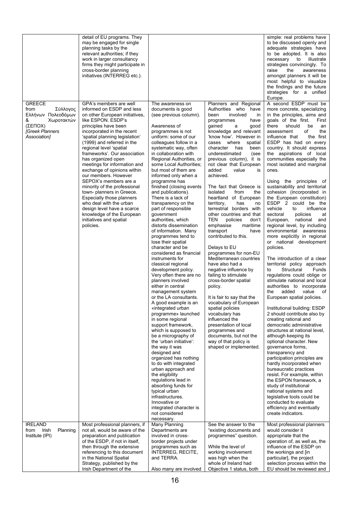|                                                                                                                          | detail of EU programs. They<br>may be engaged for single<br>planning tasks by the<br>relevant authorities; if they<br>work in larger consultancy<br>firms they might participate in<br>cross-border planning<br>initiatives (INTERREG etc.).                                                                                                                                                                                                                                                                                                                                                                                                               |                                                                                                                                                                                                                                                                                                                                                                                                                                                                                                                                                                                                                                                                                                                                                                                                                                                                                                                                                                                                                                                                                                                                                                                                                                                                                                                 |                                                                                                                                                                                                                                                                                                                                                                                                                                                                                                                                                                                                                                                                                                                                                                                                                                                                                                                                                                                                                                                  | simple: real problems have<br>to be discussed openly and<br>adequate strategies have<br>to be adopted. It is also<br>necessary<br>illustrate<br>to<br>strategies convincingly. To<br>raise<br>the<br>awareness<br>amongst planners it will be<br>most helpful to visualize<br>the findings and the future<br>strategies for a unified<br>Europe.                                                                                                                                                                                                                                                                                                                                                                                                                                                                                                                                                                                                                                                                                                                                                                                                                                                                                                                                                                                                                                                                                                                                                                                                                 |
|--------------------------------------------------------------------------------------------------------------------------|------------------------------------------------------------------------------------------------------------------------------------------------------------------------------------------------------------------------------------------------------------------------------------------------------------------------------------------------------------------------------------------------------------------------------------------------------------------------------------------------------------------------------------------------------------------------------------------------------------------------------------------------------------|-----------------------------------------------------------------------------------------------------------------------------------------------------------------------------------------------------------------------------------------------------------------------------------------------------------------------------------------------------------------------------------------------------------------------------------------------------------------------------------------------------------------------------------------------------------------------------------------------------------------------------------------------------------------------------------------------------------------------------------------------------------------------------------------------------------------------------------------------------------------------------------------------------------------------------------------------------------------------------------------------------------------------------------------------------------------------------------------------------------------------------------------------------------------------------------------------------------------------------------------------------------------------------------------------------------------|--------------------------------------------------------------------------------------------------------------------------------------------------------------------------------------------------------------------------------------------------------------------------------------------------------------------------------------------------------------------------------------------------------------------------------------------------------------------------------------------------------------------------------------------------------------------------------------------------------------------------------------------------------------------------------------------------------------------------------------------------------------------------------------------------------------------------------------------------------------------------------------------------------------------------------------------------------------------------------------------------------------------------------------------------|------------------------------------------------------------------------------------------------------------------------------------------------------------------------------------------------------------------------------------------------------------------------------------------------------------------------------------------------------------------------------------------------------------------------------------------------------------------------------------------------------------------------------------------------------------------------------------------------------------------------------------------------------------------------------------------------------------------------------------------------------------------------------------------------------------------------------------------------------------------------------------------------------------------------------------------------------------------------------------------------------------------------------------------------------------------------------------------------------------------------------------------------------------------------------------------------------------------------------------------------------------------------------------------------------------------------------------------------------------------------------------------------------------------------------------------------------------------------------------------------------------------------------------------------------------------|
| <b>GREECE</b><br>from<br>Σύλλογος<br>Ελλήνων Πολεοδόμων<br>&<br>Χωροτακτών<br>(ΣΕΠΟΧ)<br>[Greek Planners<br>Association] | GPA's members are well<br>informed on ESDP and less<br>on other European initiatives,<br>like ESPON, ESDP's<br>principles have been<br>incorporated in the recent<br>'spatial planning legislation'<br>(1999) and referred in the<br>regional level 'spatial<br>frameworks'. Our association<br>has organized open<br>meetings for information and<br>exchange of opinions within<br>our members. However<br>SEPOX's members are a<br>minority of the professional<br>town- planners in Greece.<br>Especially those planners<br>who deal with the urban<br>design level have a scarce<br>knowledge of the European<br>initiatives and spatial<br>policies. | The awareness on<br>documents is good<br>(see previous column).<br>Awareness of<br>programmes is not<br>uniform: some of our<br>colleagues follow in a<br>systematic way, often<br>in collaboration with<br>Regional Authorities, or<br>some Local Authorities;<br>but most of them are<br>informed only when a<br>programme has<br>finished (closing events<br>and publications).<br>There is a lack of<br>transparency on the<br>part of responsible<br>government<br>authorities, which<br>distorts dissemination<br>of information. Many<br>programmes tend to<br>lose their spatial<br>character and be<br>considered as financial<br>instruments for<br>classical regional<br>development policy.<br>Very often there are no<br>planners involved<br>either in central<br>management system<br>or the LA consultants.<br>A good example is an<br>«integrated urban<br>programme» launched<br>in some regional<br>support framework,<br>which is supposed to<br>be a micrography of<br>the 'urban initiative':<br>the way it was<br>designed and<br>organized has nothing<br>to do with integrated<br>urban approach and<br>the eligibility<br>regulations lead in<br>absorbing funds for<br>typical urban<br>infrastructures.<br>Innovative or<br>integrated character is<br>not considered<br>necessary. | Planners and Regional<br>Authorities who<br>have<br>been<br>involved<br>in<br>programmes<br>have<br>gained<br>good<br>a<br>knowledge and relevant<br>'know how'. However in<br>where<br>cases<br>spatial<br>character<br>has<br>been<br>underestimated<br>(see<br>previous column), it is<br>not clear that European<br>added<br>value<br>is<br>achieved.<br>The fact that Greece is<br>isolated<br>from<br>the<br>heartland of European<br>territory,<br>has<br>no<br>terrestrial borders with<br>other countries and that<br>TEN<br>policies<br>don't<br>emphasise<br>maritime<br>transport<br>have<br>contributed to this.<br>Delays to EU<br>programmes for non-EU<br>Mediterranean countries<br>have also had a<br>negative influence by<br>failing to stimulate<br>cross-border spatial<br>policy.<br>It is fair to say that the<br>vocabulary of European<br>spatial policies<br>vocabulary has<br>influenced the<br>presentation of local<br>programmes and<br>documents, but not the<br>way of that policy is<br>shaped or implemented. | A second ESDP must be<br>more concrete, specializing<br>in the principles, aims and<br>goals of the first.<br>First<br>there<br>should<br>be<br>an<br>of<br>the<br>assessment<br>influence that<br>the first<br>ESDP has had on every<br>country. It should express<br>the aspirations of local<br>communities especially the<br>most isolated and marginal<br>ones.<br>Using the principles of<br>sustainability and territorial<br>cohesion (incorporated in<br>the European constitution)<br>ESDP 2 could be the<br>vehicle<br>influence<br>to<br>sectoral<br>policies<br>at<br>European, national<br>and<br>regional level, by including<br>environmental awareness<br>more explicitly in regional<br>or national development<br>policies.<br>The introduction of a clear<br>territorial policy approach<br>Structural<br>Funds<br>to<br>regulations could oblige or<br>stimulate national and local<br>authorities to incorporate<br>added<br>value<br>of<br>the<br>European spatial policies.<br>Institutional building: ESDP<br>2 should contribute also by<br>creating rational and<br>democratic administrative<br>structures at national level,<br>although keeping its<br>optional character. New<br>governance forms,<br>transparency and<br>participation principles are<br>hardly incorporated when<br>bureaucratic practices<br>resist. For example, within<br>the ESPON framework, a<br>study of institutional<br>national systems and<br>legislative tools could be<br>conducted to evaluate<br>efficiency and eventually<br>create indicators. |
| <b>IRELAND</b><br>Planning<br>from<br>Irish<br>Institute (IPI)                                                           | Most professional planners, if<br>not all, would be aware of the<br>preparation and publication<br>of the ESDP, if not in itself,<br>then through the extensive<br>referencing to this document<br>in the National Spatial<br>Strategy, published by the<br>Irish Department of the                                                                                                                                                                                                                                                                                                                                                                        | Many Planning<br>Departments are<br>involved in cross-<br>border projects under<br>programmes such as<br><b>INTERREG, RECITE,</b><br>and TERRA.<br>Also many are involved                                                                                                                                                                                                                                                                                                                                                                                                                                                                                                                                                                                                                                                                                                                                                                                                                                                                                                                                                                                                                                                                                                                                       | See the answer to the<br>"existing documents and<br>programmes" question.<br>While the level of<br>working involvement<br>was high when the<br>whole of Ireland had<br>Objective 1 status, both                                                                                                                                                                                                                                                                                                                                                                                                                                                                                                                                                                                                                                                                                                                                                                                                                                                  | Most professional planners<br>would consider it<br>appropriate that the<br>operation of, as well as, the<br>influence of the ESDP on<br>the workings and [in<br>particular], the project<br>selection process within the<br>EU should be reviewed and                                                                                                                                                                                                                                                                                                                                                                                                                                                                                                                                                                                                                                                                                                                                                                                                                                                                                                                                                                                                                                                                                                                                                                                                                                                                                                            |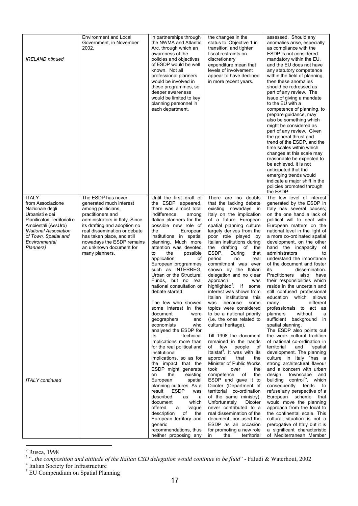| <b>IRELAND</b> ntinued                                                                                                                                                                                        | Environment and Local<br>Government, in November<br>2002.                                                                                                                                                                                                                                          | in partnerships through<br>the NWMA and Atlantic<br>Arc, through which an<br>awareness of the<br>policies and objectives<br>of ESDP would be well<br>known. Not all<br>professional planners<br>would be involved in<br>these programmes, so<br>deeper awareness<br>would be limited to key<br>planning personnel in<br>each department.                                                                                                                                                                                                                                                                                                                                                                    | the changes in the<br>status to 'Objective 1 in<br>transition' and tighter<br>fiscal restraints on<br>discretionary<br>expenditure mean that<br>levels of involvement<br>appear to have declined<br>in more recent years.                                                                                                                                                                                                                                                                                                                                                                                                                                                                                                                                                                          | assessed. Should any<br>anomalies arise, especially<br>as compliance with the<br>ESDP is not considered<br>mandatory within the EU,<br>and the EU does not have<br>any statutory competence<br>within the field of planning,<br>then these anomalies<br>should be redressed as<br>part of any review. The<br>issue of giving a mandate<br>to the EU with a<br>competence of planning, to<br>prepare guidance, may<br>also be something which<br>might be considered as<br>part of any review. Given<br>the general thrust and<br>trend of the ESDP, and the<br>time scales within which<br>changes at this scale may<br>reasonable be expected to<br>be achieved, it is not<br>anticipated that the<br>emerging trends would<br>indicate a major shift in the<br>policies promoted through<br>the ESDP.                                                                              |
|---------------------------------------------------------------------------------------------------------------------------------------------------------------------------------------------------------------|----------------------------------------------------------------------------------------------------------------------------------------------------------------------------------------------------------------------------------------------------------------------------------------------------|-------------------------------------------------------------------------------------------------------------------------------------------------------------------------------------------------------------------------------------------------------------------------------------------------------------------------------------------------------------------------------------------------------------------------------------------------------------------------------------------------------------------------------------------------------------------------------------------------------------------------------------------------------------------------------------------------------------|----------------------------------------------------------------------------------------------------------------------------------------------------------------------------------------------------------------------------------------------------------------------------------------------------------------------------------------------------------------------------------------------------------------------------------------------------------------------------------------------------------------------------------------------------------------------------------------------------------------------------------------------------------------------------------------------------------------------------------------------------------------------------------------------------|--------------------------------------------------------------------------------------------------------------------------------------------------------------------------------------------------------------------------------------------------------------------------------------------------------------------------------------------------------------------------------------------------------------------------------------------------------------------------------------------------------------------------------------------------------------------------------------------------------------------------------------------------------------------------------------------------------------------------------------------------------------------------------------------------------------------------------------------------------------------------------------|
| <b>ITALY</b><br>from Associazione<br>Nazionale degli<br>Urbanisti e dei<br>Pianificatori Territoriali e<br>Ambientali (AssUrb)<br>[National Association<br>of Town, Spatial and<br>Environmental<br>Planners] | The ESDP has never<br>generated much interest<br>among politicians,<br>practitioners and<br>administrators in Italy. Since<br>its drafting and adoption no<br>real dissemination or debate<br>has taken place, and still<br>nowadays the ESDP remains<br>an unknown document for<br>many planners. | Until the first draft of<br>the ESDP appeared,<br>there was almost total<br>indifference<br>among<br>Italian planners for the<br>possible new role of<br>European<br>the<br>institutions in spatial<br>planning. Much more<br>attention was devoted<br>the<br>to<br>possible<br>application<br>οf<br>European programmes<br>such as INTERREG.<br>Urban or the Structural<br>Funds, but no real<br>national consultation or<br>debate started.<br>The few who showed<br>some interest in the<br>document<br>were<br>geographers<br>and<br>economists<br>who<br>analysed the ESDP for<br>its<br>technical<br>implications more than<br>for the real political and<br>institutional<br>implications, so as for | There are no doubts<br>that the lacking debate<br>existing nowadays in<br>Italy on the implication<br>of a future European<br>spatial planning culture<br>largely derives from the<br>poor role played by<br>Italian institutions during<br>the drafting of<br>the<br>ESDP.<br>During<br>that<br>period<br>no<br>real<br>commitment was ever<br>shown by the Italian<br>delegation and no clear<br>approach<br>was<br>highlighted <sup>3</sup> . If some<br>interest was shown from<br>Italian institutions this<br>was because some<br>topics were considered<br>to be a national priority<br>(i.e. the ones related to<br>cultural heritage).<br>Till 1998 the document<br>remained in the hands<br>of few<br>people<br>of<br>Italstat <sup>4</sup> . It was with its<br>approval<br>that<br>the | The low level of interest<br>generated by the ESDP in<br>Italy has several causes;<br>on the one hand a lack of<br>political will to deal with<br>European matters on the<br>national level in the light of<br>a more co-ordinated spatial<br>development, on the other<br>hand the incapacity of<br>administrators<br>to<br>understand the importance<br>of the document and foster<br>dissemination.<br>its<br>Practitioners<br>also have<br>their responsibilities which<br>reside in the uncertain and<br>still confused professional<br>education which allows<br>different<br>many<br>professionals to act as<br>without<br>planners<br>a<br>sufficient background in<br>spatial planning.<br>The ESDP also points out<br>the weak cultural tradition<br>of national co-ordination in<br>territorial<br>and<br>spatial<br>development. The planning<br>culture in Italy "has a |
| <b>ITALY</b> continued                                                                                                                                                                                        |                                                                                                                                                                                                                                                                                                    | the impact that the<br>ESDP might generate<br>the<br>existing<br>on<br>European<br>spatial<br>planning cultures. As a<br>result ESDP<br>was<br>described<br>as<br>a<br>document<br>which<br>offered<br>a<br>vague<br>description<br>of<br>the<br>European territory and<br>generic<br>recommendations, thus<br>neither proposing any                                                                                                                                                                                                                                                                                                                                                                        | Minister of Public Works<br>took<br>over<br>the<br>competence of<br>the<br>ESDP and gave it to<br>Dicoter (Department of<br>territorial co-ordination<br>of the same ministry).<br>Unfortunately<br>Dicoter<br>never contributed to a<br>real dissemination of the<br>document, nor used the<br>ESDP as an occasion<br>for promoting a new role<br>the<br>territorial<br>in                                                                                                                                                                                                                                                                                                                                                                                                                        | strong architectural flavour<br>and a concern with urban<br>design, townscape and<br>building control <sup>5</sup> ", which<br>consequently tends<br>to<br>refuse any perspective of a<br>European scheme that<br>would move the planning<br>approach from the local to<br>the continental scale. This<br>cultural situation is not a<br>prerogative of Italy but it is<br>a significant characteristic<br>of Mediterranean Member                                                                                                                                                                                                                                                                                                                                                                                                                                                   |

<span id="page-16-0"></span>

<span id="page-16-1"></span>

<span id="page-16-2"></span>

<sup>&</sup>lt;sup>2</sup> Rusca, 1998<br><sup>3</sup> "..the composition and attitude of the Italian CSD delegation would continue to be fluid" - Faludi & Waterhout, 2002<br><sup>4</sup> Italian Society for Infrastructure<br><sup>5</sup> EU Compendium on Spatial Planning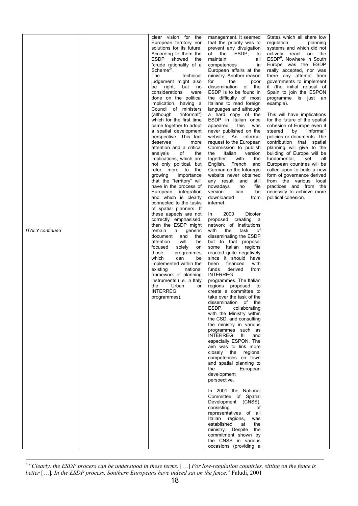|                        | clear vision for the                               | management. It seemed                                | States which all share low                              |
|------------------------|----------------------------------------------------|------------------------------------------------------|---------------------------------------------------------|
|                        | European territory nor                             | that the priority was to                             | regulation<br>planning                                  |
|                        | solutions for its future.                          | prevent any divulgation                              | systems and which did not                               |
|                        | According to them the                              | of the ESDP,<br>to                                   | actively react on the                                   |
|                        | ESDP showed<br>the                                 | maintain<br>all                                      | ESDP <sup>6</sup> . Nowhere in South                    |
|                        | "crude rationality of a<br>Scheme $2"$ .           | competences<br><i>in</i><br>European affairs at the  | Europe was the ESDP<br>really accepted, nor was         |
|                        | The<br>technical                                   | ministry. Another reason                             | there any attempt from                                  |
|                        | judgement might also                               | for<br>the<br>poor                                   | governments to implement                                |
|                        | right,<br>but no<br>be                             | dissemination of the                                 | it (the initial refusal of                              |
|                        | considerations<br>were                             | ESDP is to be found in                               | Spain to join the ESPON                                 |
|                        | done on the political<br>implication, having a     | the difficulty of most<br>Italians to read foreign   | programme is just an<br>example).                       |
|                        | Council of ministers                               | languages and although                               |                                                         |
|                        | (although "informal")                              | a hard copy of the                                   | This will have implications                             |
|                        | which for the first time                           | ESDP in Italian once                                 | for the future of the spatial                           |
|                        | came together to adopt                             | appeared, this<br>was                                | cohesion of Europe even if                              |
|                        | a spatial development                              | never published on the                               | "informal"<br>steered<br>by                             |
|                        | perspective. This fact<br>deserves<br>more         | website. An informal<br>request to the European      | policies or documents. The<br>contribution that spatial |
|                        | attention and a critical                           | Commission to publish                                | planning will give to the                               |
|                        | of<br>the<br>analysis                              | the<br>Italian<br>version                            | building of Europe will be                              |
|                        | implications, which are                            | together<br>with<br>the                              | fundamental,<br>yet<br>all                              |
|                        | not only political, but                            | English, French<br>and                               | European countries will be                              |
|                        | refer more to the                                  | German on the Inforegio                              | called upon to build a new                              |
|                        | growing<br>importance<br>that the "territory" will | website never obtained<br>any result and<br>still    | form of governance derived<br>from the various local    |
|                        | have in the process of                             | nowadays<br>file<br>no                               | practices and from the                                  |
|                        | European integration                               | version<br>can<br>be                                 | necessity to achieve more                               |
|                        | and which is clearly                               | downloaded<br>from                                   | political cohesion.                                     |
|                        | connected to the tasks<br>of spatial planners. If  | internet.                                            |                                                         |
|                        | these aspects are not                              | 2000<br>Dicoter<br>In.                               |                                                         |
|                        | correctly emphasised,                              | proposed creating a                                  |                                                         |
|                        | then the ESDP might                                | network of institutions                              |                                                         |
| <b>ITALY</b> continued | remain<br>a generic                                | with<br>the<br>task<br>οf                            |                                                         |
|                        | document and<br>the<br>will<br>attention<br>be     | disseminating the ESDP<br>but to that proposal       |                                                         |
|                        | focused<br>solely<br>on                            | some Italian regions                                 |                                                         |
|                        | those<br>programmes                                | reacted quite negatively                             |                                                         |
|                        | which<br>can<br>be                                 | since it should have                                 |                                                         |
|                        | implemented within the                             | been<br>financed<br>with                             |                                                         |
|                        | existing<br>national<br>framework of planning      | derived<br>from<br>funds<br><b>INTERREG</b>          |                                                         |
|                        | instruments ( <i>i.e.</i> in Italy                 | programmes. The Italian                              |                                                         |
|                        | the<br>Urban<br>or                                 | regions proposed to                                  |                                                         |
|                        | <b>INTERREG</b>                                    | create a committee to                                |                                                         |
|                        | programmes).                                       | take over the task of the                            |                                                         |
|                        |                                                    | dissemination of the<br>ESDP.<br>collaborating       |                                                         |
|                        |                                                    | with the Ministry within                             |                                                         |
|                        |                                                    | the CSD, and consulting                              |                                                         |
|                        |                                                    | the ministry in various                              |                                                         |
|                        |                                                    | programmes such as                                   |                                                         |
|                        |                                                    | <b>INTERREG</b><br>Ш<br>and<br>especially ESPON. The |                                                         |
|                        |                                                    | aim was to link more                                 |                                                         |
|                        |                                                    | closely the regional                                 |                                                         |
|                        |                                                    | competences on town                                  |                                                         |
|                        |                                                    | and spatial planning to                              |                                                         |
|                        |                                                    | the<br>European                                      |                                                         |
|                        |                                                    | development<br>perspective.                          |                                                         |
|                        |                                                    |                                                      |                                                         |
|                        |                                                    | In 2001 the National                                 |                                                         |
|                        |                                                    | Committee of Spatial                                 |                                                         |
|                        |                                                    | Development (CNSS),<br>consisting                    |                                                         |
|                        |                                                    | of<br>representatives of all                         |                                                         |
|                        |                                                    | Italian regions,<br>was                              |                                                         |
|                        |                                                    | established<br>the<br>at                             |                                                         |
|                        |                                                    | ministry. Despite the                                |                                                         |
|                        |                                                    | commitment shown by                                  |                                                         |
|                        |                                                    | the CNSS in various<br>occasions (providing a        |                                                         |
|                        |                                                    |                                                      |                                                         |

<span id="page-17-1"></span><span id="page-17-0"></span><sup>6</sup> "Clearly, the ESDP process can be understood in these terms. [...] *For low-regulation countries, sitting on the fence is better* […]*. In the ESDP process, Southern Europeans have indeed sat on the fence.*" Faludi, 2001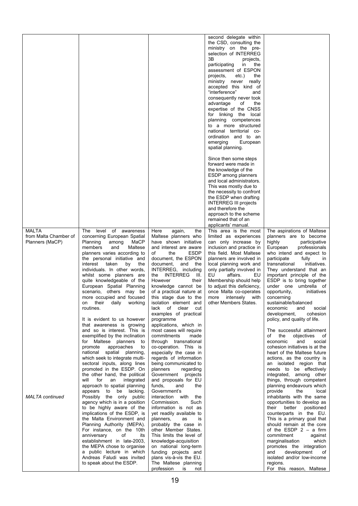|                        |                                                        |                                                 | second delegate within                             |                                                          |
|------------------------|--------------------------------------------------------|-------------------------------------------------|----------------------------------------------------|----------------------------------------------------------|
|                        |                                                        |                                                 | the CSD, consulting the                            |                                                          |
|                        |                                                        |                                                 | ministry on the pre-                               |                                                          |
|                        |                                                        |                                                 | selection of INTERREG                              |                                                          |
|                        |                                                        |                                                 | 3B<br>projects,                                    |                                                          |
|                        |                                                        |                                                 | participating<br>in<br>the                         |                                                          |
|                        |                                                        |                                                 | assessment of ESPON                                |                                                          |
|                        |                                                        |                                                 | projects,<br>etc.)<br>the<br>ministry never really |                                                          |
|                        |                                                        |                                                 | accepted this kind of                              |                                                          |
|                        |                                                        |                                                 | "interference"<br>and                              |                                                          |
|                        |                                                        |                                                 | consequently never took                            |                                                          |
|                        |                                                        |                                                 | advantage<br>οf<br>the                             |                                                          |
|                        |                                                        |                                                 | expertise of the CNSS                              |                                                          |
|                        |                                                        |                                                 | for linking the local                              |                                                          |
|                        |                                                        |                                                 | planning competences                               |                                                          |
|                        |                                                        |                                                 | to a more structured                               |                                                          |
|                        |                                                        |                                                 | national territorial co-                           |                                                          |
|                        |                                                        |                                                 | ordination and to an                               |                                                          |
|                        |                                                        |                                                 | European<br>emerging                               |                                                          |
|                        |                                                        |                                                 | spatial planning.                                  |                                                          |
|                        |                                                        |                                                 | Since then some steps                              |                                                          |
|                        |                                                        |                                                 | forward were made in                               |                                                          |
|                        |                                                        |                                                 | the knowledge of the                               |                                                          |
|                        |                                                        |                                                 | ESDP among planners                                |                                                          |
|                        |                                                        |                                                 | and local administrators.                          |                                                          |
|                        |                                                        |                                                 | This was mostly due to                             |                                                          |
|                        |                                                        |                                                 | the necessity to confront                          |                                                          |
|                        |                                                        |                                                 | the ESDP when drafting                             |                                                          |
|                        |                                                        |                                                 | <b>INTERREG III projects</b>                       |                                                          |
|                        |                                                        |                                                 | and therefore the                                  |                                                          |
|                        |                                                        |                                                 | approach to the scheme                             |                                                          |
|                        |                                                        |                                                 | remained that of an                                |                                                          |
| <b>MALTA</b>           | level<br>of awareness<br>The                           | the                                             | applicants' manual.<br>This area is the most       | The aspirations of Maltese                               |
| from Malta Chamber of  | concerning European Spatial                            | Here<br>again,<br>Maltese planners who          | limited as experiences                             | planners are to become                                   |
| Planners (MaCP)        | Planning<br>MaCP<br>among                              | have shown initiative                           | can only increase by                               | highly<br>participative                                  |
|                        | members<br>and<br>Maltese                              | and interest are aware                          | inclusion and practice in                          | European<br>professionals                                |
|                        | planners varies according to                           | <b>ESDP</b><br>of<br>the                        | this field. Most Maltese                           | who intend and expect to                                 |
|                        | the personal initiative and                            | document, the ESPON                             | planners are involved in                           | participate<br>fully<br>in                               |
|                        | taken<br>the<br>interest<br>by                         | document,<br>and<br>the                         | local planning work and                            | transnational<br>initiatives.                            |
|                        | individuals. In other words,                           | INTERREG, including                             | only partially involved in                         | They understand that an                                  |
|                        | whilst some planners are                               | INTERREG<br>- 111.<br>the                       | EU<br>affairs.<br>EU.                              | important principle of the                               |
|                        | quite knowledgeable of the                             | However<br>their                                | Membership should help                             | ESDP is to bring together                                |
|                        | European Spatial Planning                              | knowledge cannot be                             | to adjust this deficiency,                         | under one umbrella of                                    |
|                        | scenario, others may be                                | of a practical nature at                        | once Malta co-operates                             | initiatives<br>opportunity,                              |
|                        | more occupied and focused                              | this stage due to the                           | more intensely with                                | concerning                                               |
|                        | on their<br>daily working                              | isolation element and                           | other Members States.                              | sustainable/balanced                                     |
|                        | routines.                                              | lack of clear<br>cut                            |                                                    | economic<br>and<br>social                                |
|                        | It is evident to us however                            | examples of practical<br>programme              |                                                    | development,<br>cohesion<br>policy, and quality of life. |
|                        | that awareness is growing                              | applications, which in                          |                                                    |                                                          |
|                        | and so is interest. This is                            | most cases will require                         |                                                    | The successful attainment                                |
|                        | exemplified by the inclination                         | commitments<br>made                             |                                                    | objectives<br>of<br>of<br>the                            |
|                        | for Maltese planners to                                | through transnational                           |                                                    | economic<br>and<br>social                                |
|                        | approaches<br>promote<br>to                            | co-operation. This is                           |                                                    | cohesion initiatives is at the                           |
|                        | national spatial planning,                             | especially the case in                          |                                                    | heart of the Maltese future                              |
|                        | which seek to integrate multi-                         | regards of information                          |                                                    | actions, as the country is                               |
|                        | sectoral inputs, along lines                           | being communicated to                           |                                                    | an isolated region that                                  |
|                        | promoted in the ESDP. On                               | planners<br>regarding                           |                                                    | needs to be effectively                                  |
|                        | the other hand, the political                          | Government<br>projects                          |                                                    | integrated, among other                                  |
|                        | will<br>for<br>an<br>integrated                        | and proposals for EU                            |                                                    | things, through competent                                |
|                        | approach to spatial planning<br>to be lacking.         | funds,<br>and<br>the<br>Government's            |                                                    | planning endeavours which<br>provide<br>local<br>the     |
| <b>MALTA</b> continued | appears<br>Possibly the only public                    | interaction<br>with the                         |                                                    | inhabitants with the same                                |
|                        | agency which is in a position                          | Commission.<br>Such                             |                                                    | opportunities to develop as                              |
|                        | to be highly aware of the                              | information is not as                           |                                                    | their<br>better<br>positioned                            |
|                        | implications of the ESDP, is                           | yet readily available to                        |                                                    | counterparts in the EU.                                  |
|                        | the Malta Environment and                              | planners,<br>as<br>is                           |                                                    | This is a primary goal that                              |
|                        | Planning Authority (MEPA).                             | probably the case in                            |                                                    | should remain at the core                                |
|                        | For instance, on the 10th                              | other Member States.                            |                                                    | of the ESDP $2 - a$ firm                                 |
|                        | anniversary<br>of<br>its                               | This limits the level of                        |                                                    | commitment<br>against                                    |
|                        | establishment in late-2003,                            | knowledge-acquisition                           |                                                    | which<br>marginalisation                                 |
|                        | the MEPA chose to organise                             | on national long-term                           |                                                    | promotes the integration                                 |
|                        | a public lecture in which                              | funding projects and<br>plans vis-à-vis the EU. |                                                    | development<br>and<br>of                                 |
|                        | Andreas Faludi was invited<br>to speak about the ESDP. | The Maltese planning                            |                                                    | isolated and/or low-income<br>regions.                   |
|                        |                                                        | profession<br>is<br>not                         |                                                    | For this reason, Maltese                                 |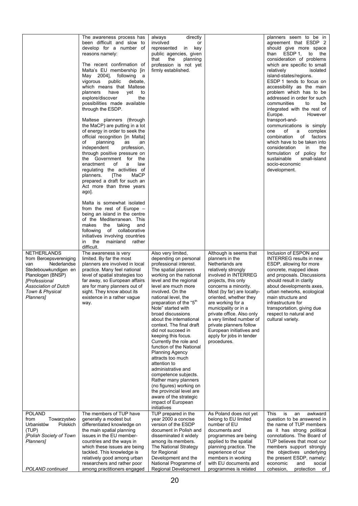|                                                                                                                                                                                                             | The awareness process has<br>been difficult and slow to<br>develop for a number of<br>reasons namely:<br>The recent confirmation of<br>Malta's EU membership [in<br>May 2004], following<br>a<br>vigorous<br>public<br>debate,<br>which means that Maltese<br>have<br>yet<br>planners<br>to<br>explore/discover<br>the<br>possibilities made available<br>through the ESDP.<br>Maltese planners (through<br>the MaCP) are putting in a lot<br>of energy in order to seek the<br>official recognition [in Malta]<br>of<br>planning<br>as<br>an<br>independent<br>profession,<br>through positive pressure on<br>the Government for the<br>enactment<br>of<br>a<br>law<br>regulating the activities of<br>MaCP<br>planners.<br>[The<br>prepared a draft for such an<br>Act more than three years<br>ago].<br>Malta is somewhat isolated<br>from the rest of Europe $-$<br>being an island in the centre<br>of the Mediterranean. This<br>taking<br>and<br>makes<br>the<br>of collaborative<br>following<br>initiatives involving countries<br>in<br>the<br>mainland<br>rather<br>difficult. | directly<br>always<br>involved<br>or<br>represented<br>in key<br>public agencies, given<br>that<br>the<br>planning<br>profession is not yet<br>firmly established.                                                                                                                                                                                                                                                                                                                                                                                                                                                                                                                                                          |                                                                                                                                                                                                                                                                                                                                                                                                                            | planners seem to be in<br>agreement that ESDP 2<br>should give more space<br>ESDP 1,<br>to<br>the<br>than<br>consideration of problems<br>which are specific to small<br>relatively<br>isolated<br>island-states/regions.<br>ESDP 1 tends to focus on<br>accessibility as the main<br>problem which has to be<br>addressed in order for such<br>communities<br>to<br>be<br>integrated with the rest of<br>Europe.<br>However<br>transport-and-<br>communications is simply<br>of<br>one<br>complex<br>a<br>combination<br>of factors<br>which have to be taken into<br>consideration<br>in<br>the<br>formulation of policy for<br>small-island<br>sustainable<br>socio-economic<br>development. |
|-------------------------------------------------------------------------------------------------------------------------------------------------------------------------------------------------------------|-------------------------------------------------------------------------------------------------------------------------------------------------------------------------------------------------------------------------------------------------------------------------------------------------------------------------------------------------------------------------------------------------------------------------------------------------------------------------------------------------------------------------------------------------------------------------------------------------------------------------------------------------------------------------------------------------------------------------------------------------------------------------------------------------------------------------------------------------------------------------------------------------------------------------------------------------------------------------------------------------------------------------------------------------------------------------------------------|-----------------------------------------------------------------------------------------------------------------------------------------------------------------------------------------------------------------------------------------------------------------------------------------------------------------------------------------------------------------------------------------------------------------------------------------------------------------------------------------------------------------------------------------------------------------------------------------------------------------------------------------------------------------------------------------------------------------------------|----------------------------------------------------------------------------------------------------------------------------------------------------------------------------------------------------------------------------------------------------------------------------------------------------------------------------------------------------------------------------------------------------------------------------|-------------------------------------------------------------------------------------------------------------------------------------------------------------------------------------------------------------------------------------------------------------------------------------------------------------------------------------------------------------------------------------------------------------------------------------------------------------------------------------------------------------------------------------------------------------------------------------------------------------------------------------------------------------------------------------------------|
| <b>NETHERLANDS</b><br>from Beroepsvereniging<br>Nederlandse<br>van<br>Stedebouwkundigen en<br>Planologen (BNSP)<br><b>IProfessional</b><br>Association of Dutch<br>Town & Physical<br>Planners <sub>1</sub> | The awareness is very<br>limited. By far the most<br>planners are involved in local<br>practice. Many feel national<br>level of spatial strategies too<br>far away, so European affairs<br>are for many planners out of<br>sight. They know about its<br>existence in a rather vague<br>way.                                                                                                                                                                                                                                                                                                                                                                                                                                                                                                                                                                                                                                                                                                                                                                                              | Also very limited,<br>depending on personal<br>professional interest.<br>The spatial planners<br>working on the national<br>level and the regional<br>level are much more<br>involved. On the<br>national level, the<br>preparation of the "5 <sup>th</sup><br>Note" started with<br>broad discussions<br>about the international<br>context. The final draft<br>did not succeed in<br>keeping this focus.<br>Currently the role and<br>function of the National<br><b>Planning Agency</b><br>attracts too much<br>attention to<br>administrative and<br>competence subjects.<br>Rather many planners<br>(no figures) working on<br>the provincial level are<br>aware of the strategic<br>impact of European<br>initiatives | Although is seems that<br>planners in the<br>Netherlands are<br>relatively strongly<br>involved in INTERREG<br>projects, this only<br>concerns a minority.<br>Most (by far) are locally-<br>oriented, whether they<br>are working for a<br>municipality or in a<br>private office. Also only<br>a very limited number of<br>private planners follow<br>European initiatives and<br>apply for jobs in tender<br>procedures. | Inclusion of ESPON and<br><b>INTERREG</b> results in new<br>ESDP, allowing for more<br>concrete, mapped ideas<br>and proposals. Discussions<br>should result in clarity<br>about developments axes,<br>urban networks, ecological<br>main structure and<br>infrastructure tor<br>transportation, giving due<br>respect to natural and<br>cultural variety.                                                                                                                                                                                                                                                                                                                                      |
| <b>POLAND</b><br>from<br>Towarzystwo<br>Urbanistów<br>Polskich<br>(TUP)<br>[Polish Society of Town<br>Planners <sub>1</sub><br>POLAND continued                                                             | The members of TUP have<br>generally a modest but<br>differentiated knowledge on<br>the main spatial planning<br>issues in the EU member-<br>countries and the ways in<br>which these issues are being<br>tackled. This knowledge is<br>relatively good among urban<br>researchers and rather poor<br>among practitioners engaged                                                                                                                                                                                                                                                                                                                                                                                                                                                                                                                                                                                                                                                                                                                                                         | TUP prepared in the<br>year 2000 a concise<br>version of the ESDP<br>document in Polish and<br>disseminated it widely<br>among its members.<br>The National Strategy<br>for Regional<br>Development and the<br>National Programme of<br>Regional Development                                                                                                                                                                                                                                                                                                                                                                                                                                                                | As Poland does not yet<br>belong to EU limited<br>number of EU<br>documents and<br>programmes are being<br>applied to the spatial<br>planning practice. The<br>experience of our<br>members in working<br>with EU documents and<br>programmes is related                                                                                                                                                                   | This<br>is<br>an<br>awkward<br>question to be answered in<br>the name of TUP members<br>as it has strong political<br>connotations. The Board of<br>TUP believes that most our<br>members support strongly<br>the objectives underlying<br>the present ESDP, namely:<br>economic<br>and<br>social<br>cohesion,<br>protection<br>of                                                                                                                                                                                                                                                                                                                                                              |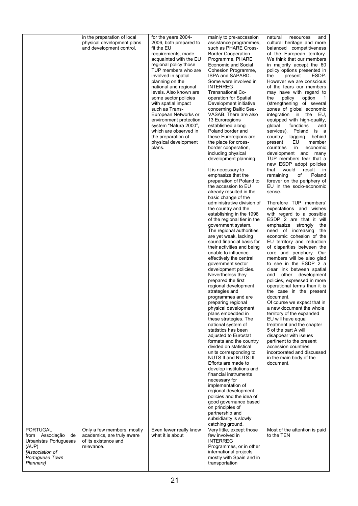|                                                                                                                   | in the preparation of local<br>physical development plans<br>and development control.          | for the years 2004-<br>2006, both prepared to<br>fit the EU<br>requirements, made<br>acquainted with the EU<br>regional policy those<br>TUP members who are<br>involved in spatial<br>planning on the<br>national and regional<br>levels. Also known are<br>some sector policies<br>with spatial impact<br>such as Trans-<br>European Networks or<br>environment protection<br>system "Natura 2000",<br>which are observed in<br>the preparation of<br>physical development<br>plans. | mainly to pre-accession<br>assistance programmes,<br>such as PHARE Cross-<br><b>Border Cooperation</b><br>Programme, PHARE<br>Economic and Social<br>Cohesion Programme,<br>ISPA and SAPARD.<br>Some were involved in<br><b>INTERREG</b><br>Transnational Co-<br>operation for Spatial<br>Development initiative<br>concerning Baltic Sea-<br>VASAB. There are also<br>13 Euroregions<br>established along<br>Poland border and<br>these Euroregions are<br>the place for cross-<br>border cooperation,<br>including physical<br>development planning.<br>It is necessary to<br>emphasize that the<br>preparation of Poland to<br>the accession to EU<br>already resulted in the<br>basic change of the<br>administrative division of<br>the country and the<br>establishing in the 1998<br>of the regional tier in the<br>government system.<br>The regional authorities<br>are yet weak, lacking<br>sound financial basis for<br>their activities and being<br>unable to influence<br>effectively the central<br>government sector<br>development policies.<br>Nevertheless they<br>prepared the first<br>regional development<br>strategies and<br>programmes and are<br>preparing regional<br>physical development<br>plans embedded in<br>these strategies. The<br>national system of<br>statistics has been<br>adjusted to Eurostat<br>formats and the country<br>divided on statistical<br>units corresponding to<br>NUTS II and NUTS III.<br>Efforts are made to<br>develop institutions and<br>financial instruments<br>necessary for<br>implementation of<br>regional development<br>policies and the idea of<br>good governance based<br>on principles of<br>partnership and<br>subsidiarity is slowly | resources<br>and<br>natural<br>cultural heritage and more<br>balanced competitiveness<br>of the European territory.<br>We think that our members<br>in majority accept the 60<br>policy options presented in<br>ESDP.<br>the<br>present<br>However we are conscious<br>of the fears our members<br>may have with regard to<br>the<br>policy<br>option<br>1<br>(strengthening of several<br>zones of global economic<br>integration in the<br>EU,<br>equipped with high-quality,<br>global<br>functions<br>and<br>services).<br>Poland<br>is a<br>country<br>behind<br>lagging<br>EU<br>present<br>member<br>countries<br>in<br>economic<br>development and many<br>TUP members fear that a<br>new ESDP adopt policies<br>result<br>that<br>would<br>in<br>remaining<br>of<br>Poland<br>forever on the periphery of<br>EU in the socio-economic<br>sense.<br>Therefore TUP members'<br>expectations and wishes<br>with regard to a possible<br>ESDP 2 are that it will<br>emphasize strongly<br>the<br>need of increasing<br>the<br>economic cohesion of the<br>EU territory and reduction<br>of disparities between the<br>core and periphery. Our<br>members will be also glad<br>to see in the ESDP 2 a<br>clear link between spatial<br>other development<br>and<br>policies, expressed in more<br>operational terms than it is<br>the case in the present<br>document.<br>Of course we expect that in<br>a new document the whole<br>territory of the expanded<br>EU will have equal<br>treatment and the chapter<br>5 of the part A will<br>disappear with issues<br>pertinent to the present<br>accession countries<br>incorporated and discussed<br>in the main body of the<br>document. |
|-------------------------------------------------------------------------------------------------------------------|------------------------------------------------------------------------------------------------|---------------------------------------------------------------------------------------------------------------------------------------------------------------------------------------------------------------------------------------------------------------------------------------------------------------------------------------------------------------------------------------------------------------------------------------------------------------------------------------|-------------------------------------------------------------------------------------------------------------------------------------------------------------------------------------------------------------------------------------------------------------------------------------------------------------------------------------------------------------------------------------------------------------------------------------------------------------------------------------------------------------------------------------------------------------------------------------------------------------------------------------------------------------------------------------------------------------------------------------------------------------------------------------------------------------------------------------------------------------------------------------------------------------------------------------------------------------------------------------------------------------------------------------------------------------------------------------------------------------------------------------------------------------------------------------------------------------------------------------------------------------------------------------------------------------------------------------------------------------------------------------------------------------------------------------------------------------------------------------------------------------------------------------------------------------------------------------------------------------------------------------------------------------------------------------------------------------------|-------------------------------------------------------------------------------------------------------------------------------------------------------------------------------------------------------------------------------------------------------------------------------------------------------------------------------------------------------------------------------------------------------------------------------------------------------------------------------------------------------------------------------------------------------------------------------------------------------------------------------------------------------------------------------------------------------------------------------------------------------------------------------------------------------------------------------------------------------------------------------------------------------------------------------------------------------------------------------------------------------------------------------------------------------------------------------------------------------------------------------------------------------------------------------------------------------------------------------------------------------------------------------------------------------------------------------------------------------------------------------------------------------------------------------------------------------------------------------------------------------------------------------------------------------------------------------------------------------------------------------------------------------------------------------------------------|
| <b>PORTUGAL</b><br>from Associação<br>de<br>Urbanistas Portuguesas<br>(AUP)<br>[Association of<br>Portuguese Town | Only a few members, mostly<br>academics, are truly aware<br>of its existence and<br>relevance. | Even fewer really know<br>what it is about                                                                                                                                                                                                                                                                                                                                                                                                                                            | catching ground.<br>Very little, except those<br>few involved in<br><b>INTERREG</b><br>Programmes, or in other<br>international projects<br>mostly with Spain and in                                                                                                                                                                                                                                                                                                                                                                                                                                                                                                                                                                                                                                                                                                                                                                                                                                                                                                                                                                                                                                                                                                                                                                                                                                                                                                                                                                                                                                                                                                                                              | Most of the attention is paid<br>to the TEN                                                                                                                                                                                                                                                                                                                                                                                                                                                                                                                                                                                                                                                                                                                                                                                                                                                                                                                                                                                                                                                                                                                                                                                                                                                                                                                                                                                                                                                                                                                                                                                                                                                     |
| Planners]                                                                                                         |                                                                                                |                                                                                                                                                                                                                                                                                                                                                                                                                                                                                       | transportation                                                                                                                                                                                                                                                                                                                                                                                                                                                                                                                                                                                                                                                                                                                                                                                                                                                                                                                                                                                                                                                                                                                                                                                                                                                                                                                                                                                                                                                                                                                                                                                                                                                                                                    |                                                                                                                                                                                                                                                                                                                                                                                                                                                                                                                                                                                                                                                                                                                                                                                                                                                                                                                                                                                                                                                                                                                                                                                                                                                                                                                                                                                                                                                                                                                                                                                                                                                                                                 |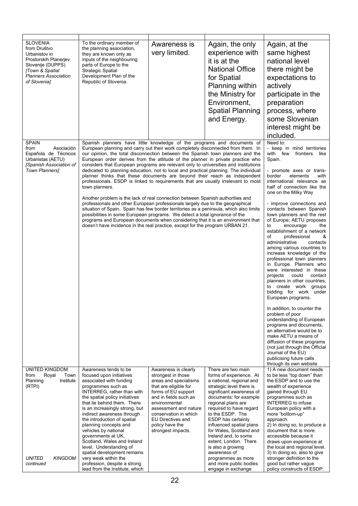| <b>SLOVENIA</b><br>from Društvo<br>Urbanistov in<br>Prostorskih Planerjev<br>Slovenije (DUPPS)<br><b>Town &amp; Spatial</b><br><b>Planners Association</b><br>of Slovenia] | To the ordinary member of<br>the planning association,<br>they are known only as<br>inputs of the neighbouring<br>parts of Europe to the<br><b>Strategic Spatial</b><br>Development Plan of the<br>Republic of Slovenia.                                                                                                                                                                                                                                                                                                                                                                                                                                                                                                                                                                                                                                                                                                                                                                                                                                                                                                                                                                                             | Awareness is<br>very limited.                                                                                                                                                                                                                                                        | Again, the only<br>experience with<br>it is at the<br><b>National Office</b><br>for Spatial<br>Planning within<br>the Ministry for<br>Environment,<br><b>Spatial Planning</b><br>and Energy.                                                                                                                                                                                                                                                                              | Again, at the<br>same highest<br>national level<br>there might be<br>expectations to<br>actively<br>participate in the<br>preparation<br>process, where<br>some Slovenian<br>interest might be<br>included.                                                                                                                                                                                                                                                                                                                                                                                                                                                                                                                                                                                                                                                                                                                                                                                                                                                                    |
|----------------------------------------------------------------------------------------------------------------------------------------------------------------------------|----------------------------------------------------------------------------------------------------------------------------------------------------------------------------------------------------------------------------------------------------------------------------------------------------------------------------------------------------------------------------------------------------------------------------------------------------------------------------------------------------------------------------------------------------------------------------------------------------------------------------------------------------------------------------------------------------------------------------------------------------------------------------------------------------------------------------------------------------------------------------------------------------------------------------------------------------------------------------------------------------------------------------------------------------------------------------------------------------------------------------------------------------------------------------------------------------------------------|--------------------------------------------------------------------------------------------------------------------------------------------------------------------------------------------------------------------------------------------------------------------------------------|---------------------------------------------------------------------------------------------------------------------------------------------------------------------------------------------------------------------------------------------------------------------------------------------------------------------------------------------------------------------------------------------------------------------------------------------------------------------------|--------------------------------------------------------------------------------------------------------------------------------------------------------------------------------------------------------------------------------------------------------------------------------------------------------------------------------------------------------------------------------------------------------------------------------------------------------------------------------------------------------------------------------------------------------------------------------------------------------------------------------------------------------------------------------------------------------------------------------------------------------------------------------------------------------------------------------------------------------------------------------------------------------------------------------------------------------------------------------------------------------------------------------------------------------------------------------|
| <b>SPAIN</b><br>from<br>Asociación<br>Española de Técnicos<br>Urbanistas (AETU)<br>[Spanish Association of<br><b>Town Planners1</b>                                        | Spanish planners have little knowledge of the programs and documents of<br>European planning and carry out their work completely disconnected from them. In<br>our opinion, the total disconnection between the Spanish town planners and the<br>European order derives from the attitude of the planner in private practice who<br>considers that European programs are relevant only to universities and institutions<br>dedicated to planning education, not to local and practical planning. The individual<br>planner thinks that these documents are beyond their reach as independent<br>professionals. ESDP is linked to requirements that are usually irrelevant to most<br>town planners.<br>Another problem is the lack of real connection between Spanish authorities and<br>professionals and other European professionals largely due to the geographical<br>situation of Spain. Spain has few border territories as a peninsula, which also limits<br>possibilities in some European programs. We detect a total ignorance of the<br>programs and European documents when considering that it is an environment that<br>doesn't have incidence in the real practice, except for the program URBAN 21. |                                                                                                                                                                                                                                                                                      |                                                                                                                                                                                                                                                                                                                                                                                                                                                                           | Need to:<br>- keep in mind territories<br>with few<br>frontiers<br>like<br>Spain.<br>- promote axes or trans-<br>border<br>elements<br>with<br>international relevance as<br>half of connection like the<br>one on the Milky Way<br>- improve connections and<br>contacts between Spanish<br>town planners and the rest<br>of Europe; AETU proposes<br>to<br>encourage<br>the<br>establishment of a network<br>professional<br>οf<br>&<br>administrative<br>contacts<br>among various countries to<br>increase knowledge of the<br>professional town planners<br>in Europe. Planners who<br>were interested in these<br>projects<br>could<br>contact<br>planners in other countries,<br>create work groups<br>to<br>bidding for work under<br>European programs.<br>In addition, to counter the<br>problem of poor<br>understanding of European<br>programs and documents,<br>an alternative would be to<br>make AETU a means of<br>diffusion of these programs<br>(not just through the Official<br>Journal of the EU)<br>publicising future calls<br>through its own website |
| <b>UNITED KINGDOM</b><br>from<br>Royal<br>Town<br>Planning<br>Institute<br>(RTPI)<br><b>UNITED</b><br><b>KINGDOM</b><br>continued                                          | Awareness tends to be<br>focused upon initiatives<br>associated with funding<br>programmes such as<br>INTERREG, rather than with<br>the spatial policy initiatives<br>that lie behind them. There<br>is an increasingly strong, but<br>indirect awareness through<br>the introduction of spatial<br>planning concepts and<br>vehicles by national<br>governments at UK,<br>Scotland, Wales and Ireland<br>level. Understanding of<br>spatial development remains<br>very weak within the<br>profession, despite a strong<br>lead from the Institute, which                                                                                                                                                                                                                                                                                                                                                                                                                                                                                                                                                                                                                                                           | Awareness is clearly<br>strongest in those<br>areas and specialisms<br>that are eligible for<br>forms of EU support<br>and in fields such as<br>environmental<br>assessment and nature<br>conservation in which<br><b>EU Directives and</b><br>policy have the<br>strongest impacts. | There are two main<br>forms of experience. At<br>a national, regional and<br>strategic level there is<br>significant awareness of<br>documents: for example<br>regional plans are<br>required to have regard<br>to the ESDP. The<br>ESDP has certainly<br>influenced spatial plans<br>for Wales, Scotland and<br>Ireland and, to some<br>extent, London. There<br>is also a growing<br>awareness of<br>programmes as more<br>and more public bodies<br>engage in exchange | 1) A new document needs<br>to be less "top down" than<br>the ESDP and to use the<br>wealth of experience<br>gained through EU<br>programmes such as<br><b>INTERREG</b> to infuse<br>European policy with a<br>more "bottom-up"<br>approach.<br>2) In doing so, to produce a<br>document that is more<br>accessible because it<br>draws upon experience at<br>the local and regional level.<br>3) In doing so, also to give<br>stronger definition to the<br>good but rather vague<br>policy constructs of ESDP:                                                                                                                                                                                                                                                                                                                                                                                                                                                                                                                                                                |